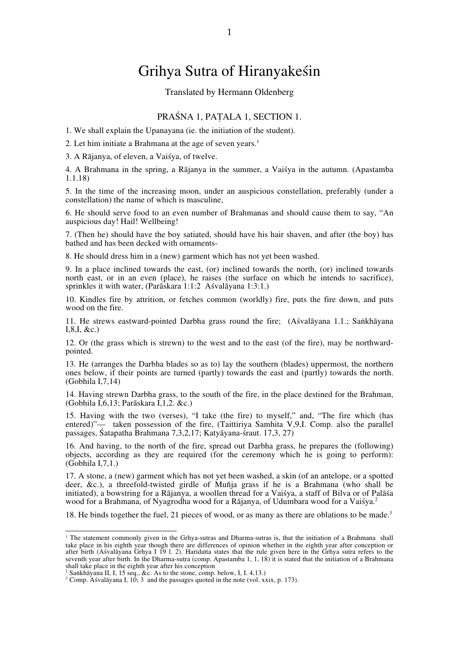# Grihya Sutra of Hiranyakeśin

#### Translated by Hermann Oldenberg

### PRAŚNA 1, PAṬALA 1, SECTION 1.

1. We shall explain the Upanayana (ie. the initiation of the student).

2. Let him initiate a Brahmana at the age of seven years.<sup>1</sup>

3. A Rājanya, of eleven, a Vaiśya, of twelve.

4. A Brahmana in the spring, a Rājanya in the summer, a Vaiśya in the autumn. (Apastamba 1.1.18)

5. In the time of the increasing moon, under an auspicious constellation, preferably (under a constellation) the name of which is masculine,

6. He should serve food to an even number of Brahmanas and should cause them to say, "An auspicious day! Hail! Wellbeing!

7. (Then he) should have the boy satiated, should have his hair shaven, and after (the boy) has bathed and has been decked with ornaments-

8. He should dress him in a (new) garment which has not yet been washed.

9. In a place inclined towards the east, (or) inclined towards the north, (or) inclined towards north east, or in an even (place), he raises (the surface on which he intends to sacrifice), sprinkles it with water, (Parāskara 1:1:2 Aśvalāyana 1:3:1.)

10. Kindles fire by attrition, or fetches common (worldly) fire, puts the fire down, and puts wood on the fire.

11. He strews eastward-pointed Darbha grass round the fire; (Aśvalāyana 1.1.; Saṅkhāyana I,8,I, &c.)

12. Or (the grass which is strewn) to the west and to the east (of the fire), may be northwardpointed.

13. He (arranges the Darbha blades so as to) lay the southern (blades) uppermost, the northern ones below, if their points are turned (partly) towards the east and (partly) towards the north. (Gobhila I,7,14)

14. Having strewn Darbha grass, to the south of the fire, in the place destined for the Brahman, (Gobhila I,6,13; Parāskara I,1,2. &c.)

15. Having with the two (verses), "I take (the fire) to myself," and, "The fire which (has entered)"— taken possession of the fire, (Taittiriya Samhita V,9,I. Comp. also the parallel passages, Śatapatha Brahmana 7,3,2,17; Katyāyana-śraut. 17,3, 27)

16. And having, to the north of the fire, spread out Darbha grass, he prepares the (following) objects, according as they are required (for the ceremony which he is going to perform): (Gobhila I,7,1.)

17. A stone, a (new) garment which has not yet been washed, a skin (of an antelope, or a spotted deer, &c.), a threefold-twisted girdle of Muñja grass if he is a Brahmana (who shall be initiated), a bowstring for a Rājanya, a woollen thread for a Vaiśya, a staff of Bilva or of Palāśa wood for a Brahmana, of Nyagrodha wood for a Rājanya, of Udumbara wood for a Vaiśya.<sup>2</sup>

18. He binds together the fuel, 21 pieces of wood, or as many as there are oblations to be made.<sup>3</sup>

<sup>|&</sup>lt;br>|<br>| <sup>1</sup> The statement commonly given in the Grhya-sutras and Dharma-sutras is, that the initiation of a Brahmana shall take place in his eighth year though there are differences of opinion whether in the eighth year after conception or after birth (Aśvalāyana Grhya I 19 l. 2). Haridatta states that the rule given here in the Grhya sutra refers to the seventh year after birth. In the Dharma-sutra (comp. Apastamba 1, 1, 18) it is stated that the initiation of a Brahmana shall take place in the eighth year after his conception

<sup>&</sup>lt;sup>2</sup> Saṅkhāyana II, I, 15 seq., &c. As to the stone, comp. below, I, I. 4, 13.)  $3 \text{ Comp}$ . As valayana I, 10: 3, and the passages quoted in the note (vol. xx

<sup>&</sup>lt;sup>3</sup> Comp. Aśvalāyana I, 10; 3 and the passages quoted in the note (vol. xxix, p. 173).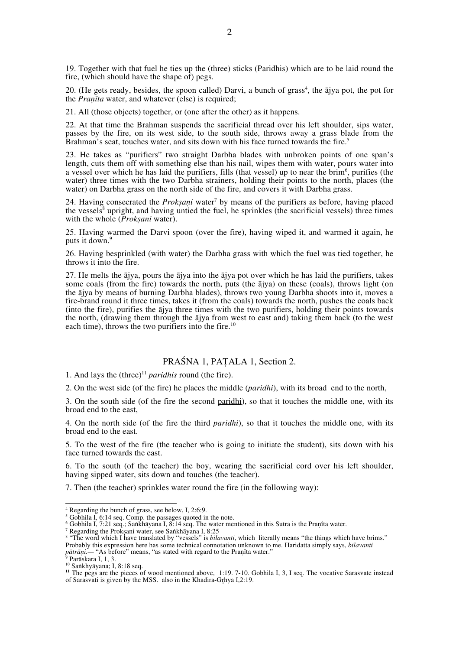19. Together with that fuel he ties up the (three) sticks (Paridhis) which are to be laid round the fire, (which should have the shape of) pegs.

20. (He gets ready, besides, the spoon called) Darvi, a bunch of grass<sup>4</sup>, the ajya pot, the pot for the *Praṇīta* water, and whatever (else) is required;

21. All (those objects) together, or (one after the other) as it happens.

22. At that time the Brahman suspends the sacrificial thread over his left shoulder, sips water, passes by the fire, on its west side, to the south side, throws away a grass blade from the Brahman's seat, touches water, and sits down with his face turned towards the fire.<sup>5</sup>

23. He takes as "purifiers" two straight Darbha blades with unbroken points of one span's length, cuts them off with something else than his nail, wipes them with water, pours water into a vessel over which he has laid the purifiers, fills (that vessel) up to near the brim<sup>6</sup>, purifies (the water) three times with the two Darbha strainers, holding their points to the north, places (the water) on Darbha grass on the north side of the fire, and covers it with Darbha grass.

24. Having consecrated the *Prokṣaṇi* water<sup>7</sup> by means of the purifiers as before, having placed the vessels<sup>8</sup> upright, and having untied the fuel, he sprinkles (the sacrificial vessels) three times with the whole (*Prokṣani* water).

25. Having warmed the Darvi spoon (over the fire), having wiped it, and warmed it again, he puts it down.<sup>9</sup>

26. Having besprinkled (with water) the Darbha grass with which the fuel was tied together, he throws it into the fire.

27. He melts the ājya, pours the ājya into the ājya pot over which he has laid the purifiers, takes some coals (from the fire) towards the north, puts (the ājya) on these (coals), throws light (on the ājya by means of burning Darbha blades), throws two young Darbha shoots into it, moves a fire-brand round it three times, takes it (from the coals) towards the north, pushes the coals back (into the fire), purifies the ājya three times with the two purifiers, holding their points towards the north, (drawing them through the ājya from west to east and) taking them back (to the west each time), throws the two purifiers into the fire.<sup>10</sup>

### PRAŚNA 1, PAṬALA 1, Section 2.

1. And lays the  $(three)^{11}$  *paridhis* round (the fire).

2. On the west side (of the fire) he places the middle (*paridhi*), with its broad end to the north,

3. On the south side (of the fire the second paridhi), so that it touches the middle one, with its broad end to the east,

4. On the north side (of the fire the third *paridhi*), so that it touches the middle one, with its broad end to the east.

5. To the west of the fire (the teacher who is going to initiate the student), sits down with his face turned towards the east.

6. To the south (of the teacher) the boy, wearing the sacrificial cord over his left shoulder, having sipped water, sits down and touches (the teacher).

7. Then (the teacher) sprinkles water round the fire (in the following way):

4 Regarding the bunch of grass, see below, I, 2:6:9.

<sup>&</sup>lt;sup>5</sup> Gobhila I, 6:14 seq. Comp. the passages quoted in the note.<br><sup>6</sup> Gobbila I, 7:21 seq.: Sankhāyana I, 8:14 seq. The water me

<sup>&</sup>lt;sup>6</sup> Gobhila I, 7:21 seq.; Saṅkhāyana I, 8:14 seq. The water mentioned in this Sutra is the Praṇîta water.<br>7 Regarding the Proksani water, see Saṅkhāyana I, 8:25

<sup>&#</sup>x27; Regarding the Prokṣani water, see Saṅkhāyana I, 8:25<br><sup>8</sup> "The word which I have translated by "vessels" is *bilavanti*, which literally means "the things which have brims." Probably this expression here has some technical connotation unknown to me. Haridatta simply says, *bilavanti pātrāṇi.*— "As before" means, "as stated with regard to the Praṇîta water."

<sup>&</sup>lt;sup>9</sup> Parāskara I, 1, 3.<br><sup>10</sup> Saṅkhyāyana; I, 8:18 seq.<br><sup>11</sup> The pegs are the pieces of wood mentioned above, 1:19. 7-10. Gobhila I, 3, I seq. The vocative Sarasvate instead of Sarasvati is given by the MSS. also in the Khadira-Gr̥hya I,2:19.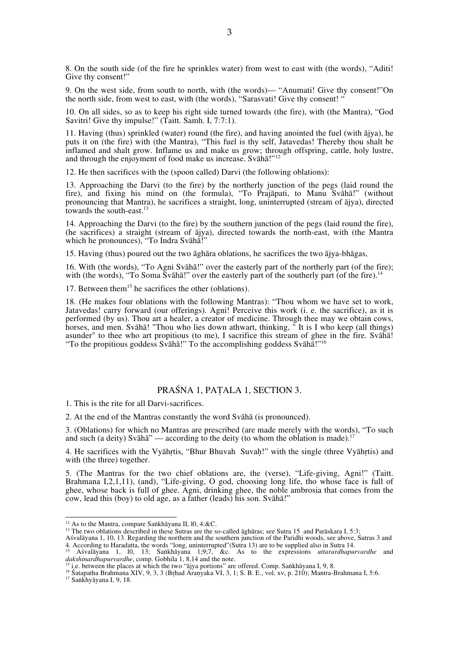8. On the south side (of the fire he sprinkles water) from west to east with (the words), "Aditi! Give thy consent!"

9. On the west side, from south to north, with (the words)— "Anumati! Give thy consent!"On the north side, from west to east, with (the words), "Sarasvati! Give thy consent! "

10. On all sides, so as to keep his right side turned towards (the fire), with (the Mantra), "God Savitri! Give thy impulse!" (Taitt. Samh. I, 7:7:1).

11. Having (thus) sprinkled (water) round (the fire), and having anointed the fuel (with ājya), he puts it on (the fire) with (the Mantra), "This fuel is thy self, Jatavedas! Thereby thou shalt be inflamed and shalt grow. Inflame us and make us grow; through offspring, cattle, holy lustre, and through the enjoyment of food make us increase. Svāhā!"<sup>12</sup>

12. He then sacrifices with the (spoon called) Darvi (the following oblations):

13. Approaching the Darvi (to the fire) by the northerly junction of the pegs (laid round the fire), and fixing his mind on (the formula), "To Prajāpati, to Manu Svāhā!" (without pronouncing that Mantra), he sacrifices a straight, long, uninterrupted (stream of ājya), directed towards the south-east.<sup>13</sup>

14. Approaching the Darvi (to the fire) by the southern junction of the pegs (laid round the fire), (he sacrifices) a straight (stream of ājya), directed towards the north-east, with (the Mantra which he pronounces), "To Indra Svāhā!"

15. Having (thus) poured out the two āghāra oblations, he sacrifices the two ājya-bhāgas,

16. With (the words), "To Agni Svāhā!" over the easterly part of the northerly part (of the fire); with (the words), "To Soma Svāhā!" over the easterly part of the southerly part (of the fire).<sup>14</sup>

17. Between them<sup>15</sup> he sacrifices the other (oblations).

18. (He makes four oblations with the following Mantras): "Thou whom we have set to work, Jatavedas! carry forward (our offerings). Agni! Perceive this work (i. e. the sacrifice), as it is performed (by us). Thou art a healer, a creator of medicine. Through thee may we obtain cows, horses, and men. Svāhā! "Thou who lies down athwart, thinking, " It is I who keep (all things) asunder" to thee who art propitious (to me), I sacrifice this stream of ghee in the fire. Svāhā! "To the propitious goddess Svāhā!" To the accomplishing goddess Svāhā!"<sup>16</sup>

### PRAŚNA 1, PAṬALA 1, SECTION 3.

1. This is the rite for all Darvi-sacrifices.

2. At the end of the Mantras constantly the word Svāhā (is pronounced).

3. (Oblations) for which no Mantras are prescribed (are made merely with the words), "To such and such (a deity) Svāhā" — according to the deity (to whom the oblation is made).<sup>1</sup>

4. He sacrifices with the Vyāhṛtis, "Bhur Bhuvah Suvaḥ!" with the single (three Vyāhṛtis) and with (the three) together.

5. (The Mantras for the two chief oblations are, the (verse), "Life-giving, Agni!" (Taitt. Brahmana I,2,1,11), (and), "Life-giving, O god, choosing long life, tho whose face is full of ghee, whose back is full of ghee. Agni, drinking ghee, the noble ambrosia that comes from the cow, lead this (boy) to old age, as a father (leads) his son. Svāhā!"

<sup>&</sup>lt;sup>12</sup> As to the Mantra, compare Saṅkhāyana II, 10, 4:&C.<br><sup>13</sup> The two oblations described in these Sutras are the so-called āghāras; see Sutra 15 and Parāskara I, 5:3;

Aśvalāyana 1, 10, 13. Regarding the northern and the southern junction of the Paridhi woods, see above, Sutras 3 and 4. According to Haradatta, the words "long, uninterrupted"(Sutra 13) are to be supplied also in Sutra 14. 14 Aśvalāyana 1, l0, 13; Saṅkhāyana 1;9;7, &c. As to the expressions *uttarardhapurvardhe* and

The comparison of the state of the complement of the complement of the complement of the state of the state of the state of the state of the state of the state of the state of the state of the state of the state of the sta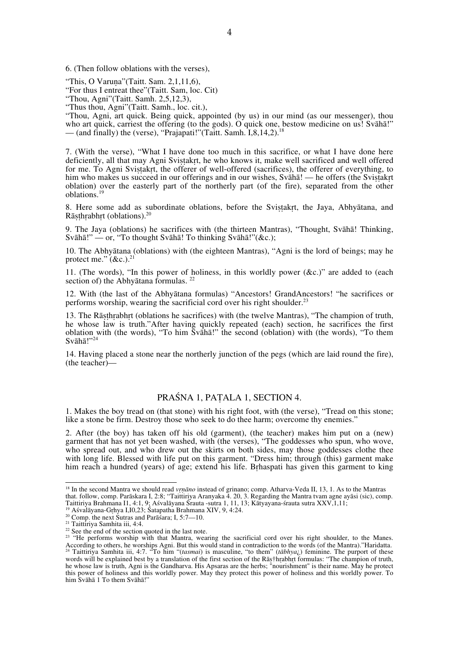6. (Then follow oblations with the verses),

"This, O Varuṇa"(Taitt. Sam. 2,1,11,6),

"For thus I entreat thee"(Taitt. Sam, loc. Cit)

"Thou, Agni"(Taitt. Samh. 2,5,12,3),

"Thus thou, Agni"(Taitt. Samh., loc. cit.),

"Thou, Agni, art quick. Being quick, appointed (by us) in our mind (as our messenger), thou who art quick, carriest the offering (to the gods). O quick one, bestow medicine on us! Svāhā!" — (and finally) the (verse), "Prajapati!"(Taitt. Samh.  $I, 8, 14, 2$ ).<sup>18</sup>

7. (With the verse), "What I have done too much in this sacrifice, or what I have done here deficiently, all that may Agni Svistakrt, he who knows it, make well sacrificed and well offered for me. To Agni Sviṣṭakṛt, the offerer of well-offered (sacrifices), the offerer of everything, to him who makes us succeed in our offerings and in our wishes, Svāhā! — he offers (the Svistakrt oblation) over the easterly part of the northerly part (of the fire), separated from the other oblations.<sup>19</sup>

8. Here some add as subordinate oblations, before the Svistakrt, the Jaya, Abhyātana, and Rāṣṭhṛabhṛt (oblations).20

9. The Jaya (oblations) he sacrifices with (the thirteen Mantras), "Thought, Svāhā! Thinking, Svāhā!" — or, "To thought Svāhā! To thinking Svāhā!"(&c.);

10. The Abhyātana (oblations) with (the eighteen Mantras), "Agni is the lord of beings; may he protect me."  $(xc)$ .<sup>21</sup>

11. (The words), "In this power of holiness, in this worldly power (&c.)" are added to (each section of) the Abhyātana formulas. <sup>22</sup>

12. With (the last of the Abhyātana formulas) "Ancestors! GrandAncestors! "he sacrifices or performs worship, wearing the sacrificial cord over his right shoulder.<sup>23</sup>

13. The Rāṣṭhṛabhṛt (oblations he sacrifices) with (the twelve Mantras), "The champion of truth, he whose law is truth."After having quickly repeated (each) section, he sacrifices the first oblation with (the words), "To him Svāhā!" the second (oblation) with (the words), "To them Svāhā!"<sup>24</sup>

14. Having placed a stone near the northerly junction of the pegs (which are laid round the fire), (the teacher)—

### PRAŚNA 1, PAṬALA 1, SECTION 4.

1. Makes the boy tread on (that stone) with his right foot, with (the verse), "Tread on this stone; like a stone be firm. Destroy those who seek to do thee harm; overcome thy enemies."

2. After (the boy) has taken off his old (garment), (the teacher) makes him put on a (new) garment that has not yet been washed, with (the verses), "The goddesses who spun, who wove, who spread out, and who drew out the skirts on both sides, may those goddesses clothe thee with long life. Blessed with life put on this garment. "Dress him; through (this) garment make him reach a hundred (years) of age; extend his life. Bṛhaspati has given this garment to king

18 In the second Mantra we should read *vr̥ṇāno* instead of grinano; comp. Atharva-Veda II, 13, 1. As to the Mantras that. follow, comp. Parāskara I, 2:8; "Taittiriya Aranyaka 4. 20, 3. Regarding the Mantra tvam agne ayāsi (sic), comp. Taittiriya Brahmana II, 4:1, 9; Ašvalāyana-Statuta 1, 11, 13; Kātyayana-Statuta sutra XXV, 1, 11;<br><sup>19</sup> Ašvalāyana-Grhya I, 10, 23; Šatapātha Brahmana XIV, 9, 4:24.<br><sup>20</sup> Comp. the next Sutras and Parāšara; I, 5:7—10.<br><sup>21</sup>

 $^{22}$  See the end of the section quoted in the last note.

<sup>&</sup>lt;sup>23</sup> "He performs worship with that Mantra, wearing the sacrificial cord over his right shoulder, to the Manes. According to others, he worships Agni. But this would stand in contradiction to the words (of the Mantra)."Haridatta.<br><sup>24</sup> Taittirius Sembits iii. 4.7 ers bin. We would stand in contradiction to the words (of the Mantra)." 24 Taittiriya Samhita iii, 4:7. "To him "(*tasmai*) is masculine, "to them" (*tābhya*¿) feminine. The purport of these words will be explained best by a translation of the first section of the Rāṣ†hr̥abhr̥t formulas: "The champion of truth, he whose law is truth, Agni is the Gandharva. His Apsaras are the herbs; "nourishment" is their name. May he protect this power of holiness and this worldly power. May they protect this power of holiness and this worldly power. To him Svāhā 1 To them Svāhā!"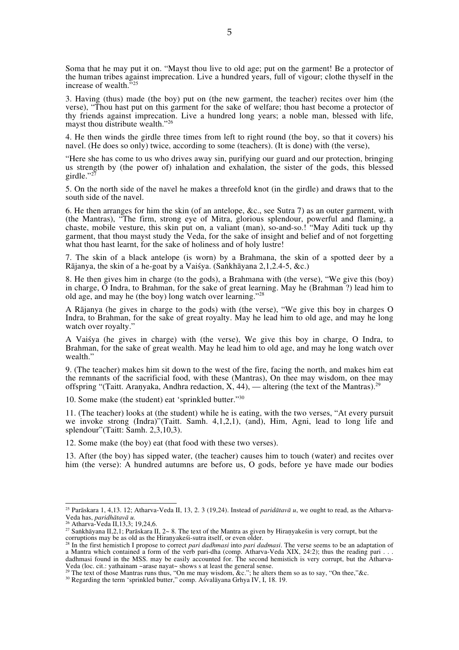Soma that he may put it on. "Mayst thou live to old age; put on the garment! Be a protector of the human tribes against imprecation. Live a hundred years, full of vigour; clothe thyself in the increase of wealth.<sup>3</sup>

3. Having (thus) made (the boy) put on (the new garment, the teacher) recites over him (the verse), "Thou hast put on this garment for the sake of welfare; thou hast become a protector of thy friends against imprecation. Live a hundred long years; a noble man, blessed with life, mayst thou distribute wealth."<sup>26</sup>

4. He then winds the girdle three times from left to right round (the boy, so that it covers) his navel. (He does so only) twice, according to some (teachers). (It is done) with (the verse),

"Here she has come to us who drives away sin, purifying our guard and our protection, bringing us strength by (the power of) inhalation and exhalation, the sister of the gods, this blessed girdle."<sup>27</sup>

5. On the north side of the navel he makes a threefold knot (in the girdle) and draws that to the south side of the navel.

6. He then arranges for him the skin (of an antelope, &c., see Sutra 7) as an outer garment, with (the Mantras), "The firm, strong eye of Mitra, glorious splendour, powerful and flaming, a chaste, mobile vesture, this skin put on, a valiant (man), so-and-so.! "May Aditi tuck up thy garment, that thou mayst study the Veda, for the sake of insight and belief and of not forgetting what thou hast learnt, for the sake of holiness and of holy lustre!

7. The skin of a black antelope (is worn) by a Brahmana, the skin of a spotted deer by a Rājanya, the skin of a he-goat by a Vaiśya. (Saṅkhāyana 2,1,2.4-5, &c.)

8. He then gives him in charge (to the gods), a Brahmana with (the verse), "We give this (boy) in charge, O Indra, to Brahman, for the sake of great learning. May he (Brahman ?) lead him to old age, and may he (the boy) long watch over learning."<sup>28</sup>

A Rājanya (he gives in charge to the gods) with (the verse), "We give this boy in charges O Indra, to Brahman, for the sake of great royalty. May he lead him to old age, and may he long watch over royalty."

A Vaiśya (he gives in charge) with (the verse), We give this boy in charge, O Indra, to Brahman, for the sake of great wealth. May he lead him to old age, and may he long watch over wealth."

9. (The teacher) makes him sit down to the west of the fire, facing the north, and makes him eat the remnants of the sacrificial food, with these (Mantras), On thee may wisdom, on thee may offspring "(Taitt. Aranyaka, Andhra redaction, X, 44), — altering (the text of the Mantras).<sup>29</sup>

10. Some make (the student) eat 'sprinkled butter."<sup>30</sup>

11. (The teacher) looks at (the student) while he is eating, with the two verses, "At every pursuit we invoke strong (Indra)"(Taitt. Samh. 4,1,2,1), (and), Him, Agni, lead to long life and splendour"(Taitt: Samh. 2,3,10,3).

12. Some make (the boy) eat (that food with these two verses).

13. After (the boy) has sipped water, (the teacher) causes him to touch (water) and recites over him (the verse): A hundred autumns are before us, O gods, before ye have made our bodies

<sup>&</sup>lt;sup>25</sup> Parāskara 1, 4,13. 12; Atharva-Veda II, 13, 2. 3 (19,24). Instead of *paridātavā u*, we ought to read, as the Atharva-Veda has, *paridhātavā u*.<br>Veda has, *paridhātavā u*.<br><sup>26</sup> Atharva-Veda II, 13,3; 19,24,6.

Veda has, *paridhātavā u.* 26 Atharva-Veda II,13,3; 19,24,6. 27 Saṅkhāyana II,2,1; Parāskara II, 2~ 8. The text of the Mantra as given by Hiraṇyakeśin is very corrupt, but the corruptions may be as old as the Hiranyakesi-sutra itself, or even older.<br><sup>28</sup> In the first hemistich I propose to correct *pari dadhmasi* into *pari dadmasi*. The verse seems to be an adaptation of

a Mantra which contained a form of the verb pari-dha (comp. Atharva-Veda XIX, 24:2); thus the reading pari . . . dadhmasi found in the MSS. may be easily accounted for. The second hemistich is very corrupt, but the Atharva-Veda (loc. cit.: yathainam ~arase nayat~ shows s at least the general sense.

<sup>&</sup>lt;sup>29</sup> The text of those Mantras runs thus, "On me may wisdom, &c."; he alters them so as to say, "On thee," &c. <sup>30</sup> Regarding the term 'sprinkled butter," comp. Aśvalāyana Grhya IV, I, 18. 19.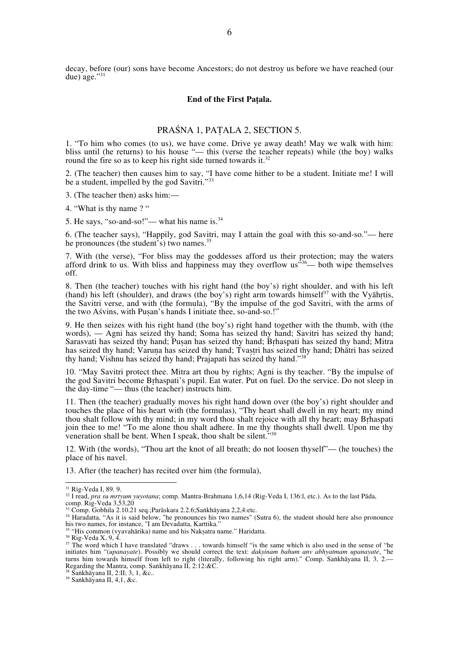decay, before (our) sons have become Ancestors; do not destroy us before we have reached (our due) age."<sup>31</sup>

#### **End of the First Paṭala.**

# PRAŚNA 1, PAṬALA 2, SECTION 5.

1. "To him who comes (to us), we have come. Drive ye away death! May we walk with him: bliss until (he returns) to his house "— this (verse the teacher repeats) while (the boy) walks round the fire so as to keep his right side turned towards it.<sup>32</sup>

2. (The teacher) then causes him to say, "I have come hither to be a student. Initiate me! I will be a student, impelled by the god Savitri."<sup>33</sup>

3. (The teacher then) asks him:—

4. "What is thy name ? "

5. He says, "so-and-so!"— what his name is.34

6. (The teacher says), "Happily, god Savitri, may I attain the goal with this so-and-so."— here he pronounces (the student's) two names.<sup>35</sup>

7. With (the verse), "For bliss may the goddesses afford us their protection; may the waters afford drink to us. With bliss and happiness may they overflow  $\text{us}^{536}$ — both wipe themselves off.

8. Then (the teacher) touches with his right hand (the boy's) right shoulder, and with his left (hand) his left (shoulder), and draws (the boy's) right arm towards himself $37$  with the Vyāhrtis, the Savitri verse, and with (the formula), "By the impulse of the god Savitri, with the arms of the two Aśvins, with Pusan's hands I initiate thee, so-and-so.!'

9. He then seizes with his right hand (the boy's) right hand together with the thumb, with (the words), — Agni has seized thy hand; Soma has seized thy hand; Savitri has seized thy hand; Sarasvati has seized thy hand; Puṣan has seized thy hand; Brhaspati has seized thy hand; Mitra has seized thy hand; Varuna has seized thy hand; Tvastri has seized thy hand; Dhātri has seized thy hand; Vishnu has seized thy hand; Prajapati has seized thy hand."<sup>38</sup>

10. "May Savitri protect thee. Mitra art thou by rights; Agni is thy teacher. "By the impulse of the god Savitri become Bṛhaspati's pupil. Eat water. Put on fuel. Do the service. Do not sleep in the day-time "— thus (the teacher) instructs him.

11. Then (the teacher) gradually moves his right hand down over (the boy's) right shoulder and touches the place of his heart with (the formulas), "Thy heart shall dwell in my heart; my mind thou shalt follow with thy mind; in my word thou shalt rejoice with all thy heart; may Bṛhaspati join thee to me! "To me alone thou shalt adhere. In me thy thoughts shall dwell. Upon me thy veneration shall be bent. When I speak, thou shalt be silent."<sup>39</sup>

12. With (the words), "Thou art the knot of all breath; do not loosen thyself"— (he touches) the place of his navel.

13. After (the teacher) has recited over him (the formula),

<sup>&</sup>lt;sup>31</sup> Rig-Veda I, 89. 9.<br><sup>32</sup> I read, *pra su mrtyum yuyotana*; comp. Mantra-Brahmana 1,6,14 (Rig-Veda I, 136:l, etc.). As to the last Pāda, comp. Rig-Veda 3,53,20<br>comp. Rig-Veda 3,53,20<br><sup>33</sup> Comp. Gobhila 2.10.21 seq.;Parā

comp. Rig-Veda 3,53,20<br><sup>33</sup> Comp. Gobhila 2.10.21 seq.;Parāskara 2.2.6;Saṅkhāyana 2,2,4:etc.<br><sup>34</sup> Haradatta, "As it is said below, "he pronounces his two names" (Sutra 6), the student should here also pronounce his two names, for instance, "I am Devadatta, Karttika."

<sup>&</sup>lt;sup>35</sup> "His common (vyavahārika) name and his Nakṣatra name." Haridatta.<br><sup>36</sup> Rig-Veda X, 9, 4.<br><sup>37</sup> The word which I have translated "draws . . . towards himself "is the same which is also used in the sense of "he initiates him "(*upanayate*). Possibly we should correct the text: *dakṣinam bahum anv abhyatmam upanayate*, "he turns him towards himself from left to right (literally, following his right arm)." Comp. Saṅkhāyana II, 3, 2.—<br>Regarding the Mantra, comp. Saṅkhāyana II, 2:12:&C.

Regarding the Manusian II, 2:11; 3, 1, &c.. 39 Saṅkhāyana II, 4,1, &c.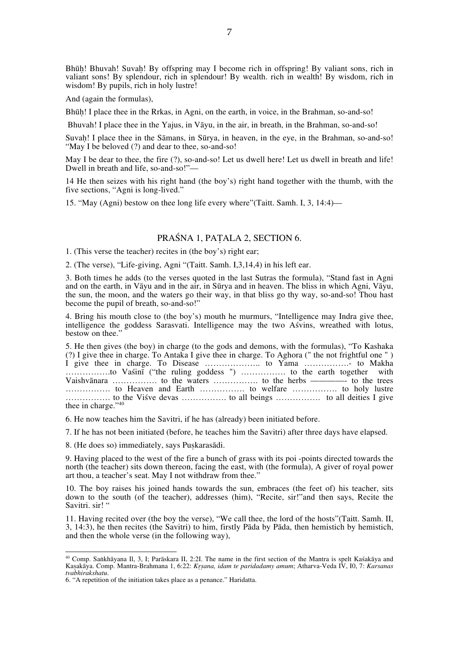Bhūh! Bhuvah! Suvah! By offspring may I become rich in offspring! By valiant sons, rich in valiant sons! By splendour, rich in splendour! By wealth. rich in wealth! By wisdom, rich in wisdom! By pupils, rich in holy lustre!

And (again the formulas),

Bhūḥ! I place thee in the Rrkas, in Agni, on the earth, in voice, in the Brahman, so-and-so!

Bhuvah! I place thee in the Yajus, in Vāyu, in the air, in breath, in the Brahman, so-and-so!

Suvah! I place thee in the Sāmans, in Sūrya, in heaven, in the eye, in the Brahman, so-and-so! "May I be beloved (?) and dear to thee, so-and-so!

May I be dear to thee, the fire (?), so-and-so! Let us dwell here! Let us dwell in breath and life! Dwell in breath and life, so-and-so!"—

14 He then seizes with his right hand (the boy's) right hand together with the thumb, with the five sections, "Agni is long-lived."

15. "May (Agni) bestow on thee long life every where"(Taitt. Samh. I, 3, 14:4)—

# PRAŚNA 1, PAṬALA 2, SECTION 6.

1. (This verse the teacher) recites in (the boy's) right ear;

2. (The verse), "Life-giving, Agni "(Taitt. Samh. I,3,14,4) in his left ear.

3. Both times he adds (to the verses quoted in the last Sutras the formula), "Stand fast in Agni and on the earth, in Vāyu and in the air, in Sūrya and in heaven. The bliss in which Agni, Vāyu, the sun, the moon, and the waters go their way, in that bliss go thy way, so-and-so! Thou hast become the pupil of breath, so-and-so!"

4. Bring his mouth close to (the boy's) mouth he murmurs, "Intelligence may Indra give thee, intelligence the goddess Sarasvati. Intelligence may the two Aśvins, wreathed with lotus, bestow on thee."

5. He then gives (the boy) in charge (to the gods and demons, with the formulas), "To Kashaka (?) I give thee in charge. To Antaka I give thee in charge. To Aghora (" the not frightful one " ) I give thee in charge. To Disease ………………….. to Yama ……………... to Makha …………….to Vaśinī ("the ruling goddess ") ……………. to the earth together with Vaishvānara ……………. to the waters ……………. to the herbs ————- to the trees ……………. to Heaven and Earth ……………. to welfare ……………. to holy lustre ……………. to the Viśve devas ……………. to all beings ……………. to all deities I give thee in charge."40

6. He now teaches him the Savitri, if he has (already) been initiated before.

7. If he has not been initiated (before, he teaches him the Savitri) after three days have elapsed.

8. (He does so) immediately, says Puskarasādi.

9. Having placed to the west of the fire a bunch of grass with its poi -points directed towards the north (the teacher) sits down thereon, facing the east, with (the formula), A giver of royal power art thou, a teacher's seat. May I not withdraw from thee."

10. The boy raises his joined hands towards the sun, embraces (the feet of) his teacher, sits down to the south (of the teacher), addresses (him), "Recite, sir!"and then says, Recite the Savitri. sir!"

11. Having recited over (the boy the verse), "We call thee, the lord of the hosts"(Taitt. Samh. II, 3, 14:3), he then recites (the Savitri) to him, firstly Pāda by Pāda, then hemistich by hemistich, and then the whole verse (in the following way),

40 Comp. Saṅkhāyana Il, 3, I; Parāskara II, 2:2I. The name in the first section of the Mantra is spelt Kaśakāya and Kaṣakāya. Comp. Mantra-Brahmana 1, 6:22: *Kr̥ṣana, idam te paridadamy amum*; Atharva-Veda IV, I0, 7: *Karsanas tvabhirakshatu*.

<sup>6. &</sup>quot;A repetition of the initiation takes place as a penance." Haridatta.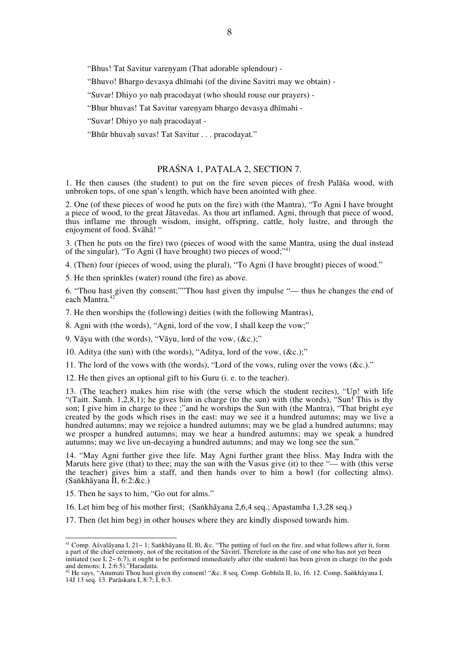"Bhus! Tat Savitur vareṇyam (That adorable splendour) -

"Bhuvo! Bhargo devasya dhīmahi (of the divine Savitri may we obtain) -

"Suvar! Dhiyo yo naḥ pracodayat (who should rouse our prayers) -

"Bhur bhuvas! Tat Savitur vareṇyam bhargo devasya dhīmahi -

"Suvar! Dhiyo yo nah pracodayat -

"Bhūr bhuvah suvas! Tat Savitur . . . pracodayat."

# PRAŚNA 1, PAṬALA 2, SECTION 7.

1. He then causes (the student) to put on the fire seven pieces of fresh Palāśa wood, with unbroken tops, of one span's length, which have been anointed with ghee.

2. One (of these pieces of wood he puts on the fire) with (the Mantra), "To Agni I have brought a piece of wood, to the great Jātavedas. As thou art inflamed, Agni, through that piece of wood, thus inflame me through wisdom, insight, offspring, cattle, holy lustre, and through the enjoyment of food. Svāhā! "

3. (Then he puts on the fire) two (pieces of wood with the same Mantra, using the dual instead of the singular), "To Agni (I have brought) two pieces of wood;"<sup>41</sup>

4. (Then) four (pieces of wood, using the plural), "To Agni (I have brought) pieces of wood."

5. He then sprinkles (water) round (the fire) as above.

6. "Thou hast given thy consent;""Thou hast given thy impulse "— thus he changes the end of each Mantra.<sup>42</sup>

7. He then worships the (following) deities (with the following Mantras),

8. Agni with (the words), "Agni, lord of the vow, I shall keep the vow;"

9. Vāyu with (the words), "Vāyu, lord of the vow, (&c.);"

10. Aditya (the sun) with (the words), "Aditya, lord of the vow, (&c.);"

11. The lord of the vows with (the words), "Lord of the vows, ruling over the vows (&c.)."

12. He then gives an optional gift to his Guru (i. e. to the teacher).

13. (The teacher) makes him rise with (the verse which the student recites), "Up! with life "(Taitt. Samh. 1,2,8,1); he gives him in charge (to the sun) with (the words), "Sun! This is thy son; I give him in charge to thee ;"and he worships the Sun with (the Mantra), "That bright eye created by the gods which rises in the east: may we see it a hundred autumns; may we live a hundred autumns; may we rejoice a hundred autumns; may we be glad a hundred autumns; may we prosper a hundred autumns; may we hear a hundred autumns; may we speak a hundred autumns; may we live un-decaying a hundred autumns; and may we long see the sun."

14. "May Agni further give thee life. May Agni further grant thee bliss. May Indra with the Maruts here give (that) to thee; may the sun with the Vasus give (it) to thee "— with (this verse the teacher) gives him a staff, and then hands over to him a bowl (for collecting alms). (Saṅkhāyana II, 6:2:&c.)

15. Then he says to him, "Go out for alms."

16. Let him beg of his mother first; (Saṅkhāyana 2,6,4 seq.; Apastamba 1,3,28 seq.)

17. Then (let him beg) in other houses where they are kindly disposed towards him.

41 Comp. Aśvalāyana I, 21~ 1; Saṅkhāyana II, l0, &c. "The putting of fuel on the fire, and what follows after it, form a part of the chief ceremony, not of the recitation of the Sāvitrī. Therefore in the case of one who has not yet been initiated (see I, 2~ 6:7), it ought to be performed immediately after (the student) has been given in charge (to the gods and demons; I, 2:6:5)."Haradatta.

<sup>&</sup>lt;sup>42</sup> He says, "Anumati Thou hast given thy consent! "&c. 8 seq. Comp. Gobhila II, lo, 16. 12. Comp. Saṅkhāyana I, 14J 13 seq. 13. Parāskara I, 8:7; I, 6:3.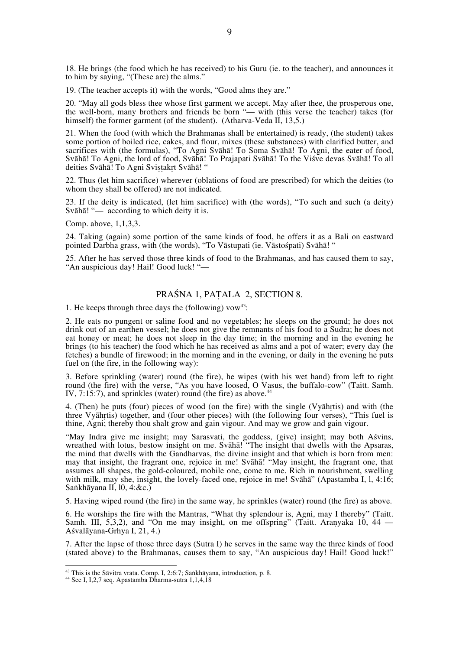18. He brings (the food which he has received) to his Guru (ie. to the teacher), and announces it to him by saying, "(These are) the alms."

19. (The teacher accepts it) with the words, "Good alms they are."

20. "May all gods bless thee whose first garment we accept. May after thee, the prosperous one, the well-born, many brothers and friends be born "— with (this verse the teacher) takes (for himself) the former garment (of the student). (Atharva-Veda II, 13,5.)

21. When the food (with which the Brahmanas shall be entertained) is ready, (the student) takes some portion of boiled rice, cakes, and flour, mixes (these substances) with clarified butter, and sacrifices with (the formulas), "To Agni Svāhā! To Soma Svāhā! To Agni, the eater of food, Svāhā! To Agni, the lord of food, Svāhā! To Prajapati Svāhā! To the Viśve devas Svāhā! To all deities Svāhā! To Agni Sviṣṭakṛt Svāhā! "

22. Thus (let him sacrifice) wherever (oblations of food are prescribed) for which the deities (to whom they shall be offered) are not indicated.

23. If the deity is indicated, (let him sacrifice) with (the words), "To such and such (a deity) Svāhā! "— according to which deity it is.

Comp. above, 1,1,3,3.

24. Taking (again) some portion of the same kinds of food, he offers it as a Bali on eastward pointed Darbha grass, with (the words), "To Vāstupati (ie. Vāstośpati) Svāhā! "

25. After he has served those three kinds of food to the Brahmanas, and has caused them to say, "An auspicious day! Hail! Good luck! "—

# PRAŚNA 1, PAṬALA 2, SECTION 8.

1. He keeps through three days the (following)  $vow^{43}$ :

2. He eats no pungent or saline food and no vegetables; he sleeps on the ground; he does not drink out of an earthen vessel; he does not give the remnants of his food to a Sudra; he does not eat honey or meat; he does not sleep in the day time; in the morning and in the evening he brings (to his teacher) the food which he has received as alms and a pot of water; every day (he fetches) a bundle of firewood; in the morning and in the evening, or daily in the evening he puts fuel on (the fire, in the following way):

3. Before sprinkling (water) round (the fire), he wipes (with his wet hand) from left to right round (the fire) with the verse, "As you have loosed, O Vasus, the buffalo-cow" (Taitt. Samh. IV, 7:15:7), and sprinkles (water) round (the fire) as above.<sup>44</sup>

4. (Then) he puts (four) pieces of wood (on the fire) with the single (Vyāhṛtis) and with (the three Vyāhṛtis) together, and (four other pieces) with (the following four verses), "This fuel is thine, Agni; thereby thou shalt grow and gain vigour. And may we grow and gain vigour.

"May Indra give me insight; may Sarasvati, the goddess, (give) insight; may both Aśvins, wreathed with lotus, bestow insight on me. Svāhā! "The insight that dwells with the Apsaras, the mind that dwells with the Gandharvas, the divine insight and that which is born from men: may that insight, the fragrant one, rejoice in me! Svāhā! "May insight, the fragrant one, that assumes all shapes, the gold-coloured, mobile one, come to me. Rich in nourishment, swelling with milk, may she, insight, the lovely-faced one, rejoice in me! Svāhā" (Apastamba I, l, 4:16; Saṅkhāyana II, l0, 4:&c.)

5. Having wiped round (the fire) in the same way, he sprinkles (water) round (the fire) as above.

6. He worships the fire with the Mantras, "What thy splendour is, Agni, may I thereby" (Taitt. Samh. III, 5,3,2), and "On me may insight, on me offspring" (Taitt. Aranyaka 10, 44 — Aśvalāyana-Grhya I, 21, 4.)

7. After the lapse of those three days (Sutra I) he serves in the same way the three kinds of food (stated above) to the Brahmanas, causes them to say, "An auspicious day! Hail! Good luck!"

<sup>&</sup>lt;sup>43</sup> This is the Sāvitra vrata. Comp. I, 2:6:7; Saṅkhāyana, introduction, p. 8. <sup>44</sup> See I, I,2,7 seq. Apastamba Dharma-sutra 1,1,4,18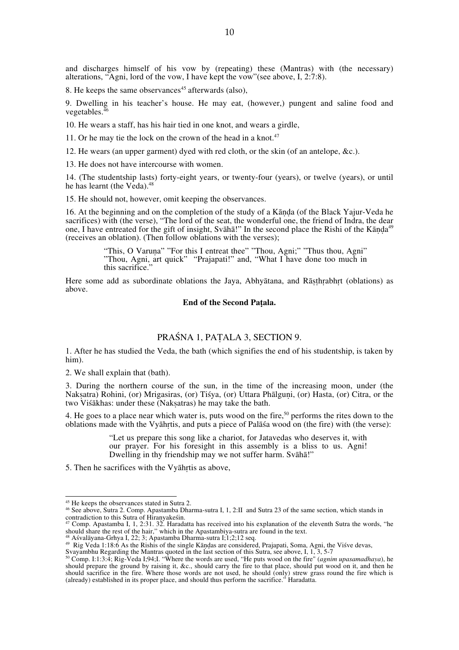and discharges himself of his vow by (repeating) these (Mantras) with (the necessary) alterations, "Agni, lord of the vow, I have kept the vow"(see above, I, 2:7:8).

8. He keeps the same observances $45$  afterwards (also),

9. Dwelling in his teacher's house. He may eat, (however,) pungent and saline food and vegetables.<sup>2</sup>

10. He wears a staff, has his hair tied in one knot, and wears a girdle,

11. Or he may tie the lock on the crown of the head in a knot.<sup>47</sup>

12. He wears (an upper garment) dyed with red cloth, or the skin (of an antelope, &c.).

13. He does not have intercourse with women.

14. (The studentship lasts) forty-eight years, or twenty-four (years), or twelve (years), or until he has learnt (the Veda).<sup>48</sup>

15. He should not, however, omit keeping the observances.

16. At the beginning and on the completion of the study of a Kāṇḍa (of the Black Yajur-Veda he sacrifices) with (the verse), "The lord of the seat, the wonderful one, the friend of Indra, the dear one, I have entreated for the gift of insight, Svāhā!" In the second place the Rishi of the Kāṇḍa<sup>49</sup> (receives an oblation). (Then follow oblations with the verses);

> "This, O Varuna" "For this I entreat thee" "Thou, Agni;" "Thus thou, Agni" "Thou, Agni, art quick" "Prajapati!" and, "What I have done too much in this sacrifice."

Here some add as subordinate oblations the Jaya, Abhyātana, and Rāsthrabhrt (oblations) as above.

#### **End of the Second Paṭala.**

### PRAŚNA 1, PAṬALA 3, SECTION 9.

1. After he has studied the Veda, the bath (which signifies the end of his studentship, is taken by him).

2. We shall explain that (bath).

3. During the northern course of the sun, in the time of the increasing moon, under (the Nakṣatra) Rohini, (or) Mrigasiras, (or) Tiśya, (or) Uttara Phālguṇi, (or) Hasta, (or) Citra, or the two Viśākhas: under these (Naksatras) he may take the bath.

4. He goes to a place near which water is, puts wood on the fire,<sup>50</sup> performs the rites down to the oblations made with the Vyāhṛtis, and puts a piece of Palāśa wood on (the fire) with (the verse):

> "Let us prepare this song like a chariot, for Jatavedas who deserves it, with our prayer. For his foresight in this assembly is a bliss to us. Agni! Dwelling in thy friendship may we not suffer harm. Svāhā!"

5. Then he sacrifices with the Vyāhṛtis as above,

<sup>&</sup>lt;sup>45</sup> He keeps the observances stated in Sutra 2.<br><sup>46</sup> See above, Sutra 2. Comp. Apastamba Dharma-sutra I, 1, 2:II and Sutra 23 of the same section, which stands in

contradiction to this Sutra of Hiranyakesin.<br><sup>47</sup> Comp. Apastamba I, 1, 2:31. 32. Haradatta has received into his explanation of the eleventh Sutra the words, "he should share the rest of the hair," which in the Apastambiy

<sup>48</sup> Aśvalāyana-Grhya I, 22; 3; Apastamba Dharma-sutra I; 1; 2; 12 seq.<br>49 Rig Veda 1:18:6 As the Rishis of the single Kāņdas are considered, Prajapati, Soma, Agni, the Viśve devas,

Svayambhu Regarding the Mantras quoted in the last section of this Sutra, see above, I, 1, 3, 5-7<br><sup>50</sup> Comp. I:1:3:4; Rig-Veda I;94;I. "Where the words are used, "He puts wood on the fire" (*agnim upasamadhaya*), he should prepare the ground by raising it, &c., should carry the fire to that place, should put wood on it, and then he should sacrifice in the fire. Where those words are not used, he should (only) strew grass round the fire which is (already) established in its proper place, and should thus perform the sacrifice." Haradatta.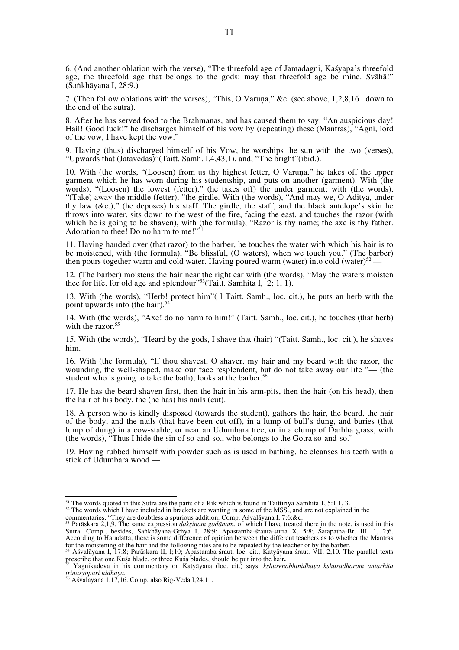6. (And another oblation with the verse), "The threefold age of Jamadagni, Kaśyapa's threefold age, the threefold age that belongs to the gods: may that threefold age be mine. Svāhā!" (Saṅkhāyana I, 28:9.)

7. (Then follow oblations with the verses), "This, O Varuṇa," &c. (see above, 1,2,8,16 down to the end of the sutra).

8. After he has served food to the Brahmanas, and has caused them to say: "An auspicious day! Hail! Good luck!" he discharges himself of his vow by (repeating) these (Mantras), "Agni, lord of the vow, I have kept the vow."

9. Having (thus) discharged himself of his Vow, he worships the sun with the two (verses), "Upwards that (Jatavedas)"(Taitt. Samh. I,4,43,1), and, "The bright"(ibid.).

10. With (the words, "(Loosen) from us thy highest fetter, O Varuṇa," he takes off the upper garment which he has worn during his studentship, and puts on another (garment). With (the words), "(Loosen) the lowest (fetter)," (he takes off) the under garment; with (the words), "(Take) away the middle (fetter), "the girdle. With (the words), "And may we, O Aditya, under thy law  $(\&c.)$ ," (he deposes) his staff. The girdle, the staff, and the black antelope's skin he throws into water, sits down to the west of the fire, facing the east, and touches the razor (with which he is going to be shaven), with (the formula), "Razor is thy name; the axe is thy father. Adoration to thee! Do no harm to me!"<sup>51</sup>

11. Having handed over (that razor) to the barber, he touches the water with which his hair is to be moistened, with (the formula), "Be blissful, (O waters), when we touch you." (The barber) then pours together warm and cold water. Having poured warm (water) into cold (water) $52 -$ 

12. (The barber) moistens the hair near the right ear with (the words), "May the waters moisten thee for life, for old age and splendour"<sup>53</sup>(Taitt. Samhita I,  $2$ ; 1, 1).

13. With (the words), "Herb! protect him"( l Taitt. Samh., loc. cit.), he puts an herb with the point upwards into (the hair).<sup>54</sup>

14. With (the words), "Axe! do no harm to him!" (Taitt. Samh., loc. cit.), he touches (that herb) with the razor.<sup>55</sup>

15. With (the words), "Heard by the gods, I shave that (hair) "(Taitt. Samh., loc. cit.), he shaves him.

16. With (the formula), "If thou shavest, O shaver, my hair and my beard with the razor, the wounding, the well-shaped, make our face resplendent, but do not take away our life "— (the student who is going to take the bath), looks at the barber.<sup>56</sup>

17. He has the beard shaven first, then the hair in his arm-pits, then the hair (on his head), then the hair of his body, the (he has) his nails (cut).

18. A person who is kindly disposed (towards the student), gathers the hair, the beard, the hair of the body, and the nails (that have been cut off), in a lump of bull's dung, and buries (that lump of dung) in a cow-stable, or near an Udumbara tree, or in a clump of Darbha grass, with (the words), "Thus I hide the sin of so-and-so., who belongs to the Gotra so-and-so."

19. Having rubbed himself with powder such as is used in bathing, he cleanses his teeth with a stick of Udumbara wood —

<sup>&</sup>lt;sup>51</sup> The words quoted in this Sutra are the parts of a Rik which is found in Taittiriya Samhita 1, 5:1 1, 3.

<sup>&</sup>lt;sup>52</sup> The words which I have included in brackets are wanting in some of the MSS., and are not explained in the

commentaries. "They are doubtless a spurious addition. Comp. Asvalayana I, 7:6:&c.<br><sup>53</sup> Paraskara 2,1,9. The same expression *daksinam godanam*, of which I have treated there in the note, is used in this

Sutra. Comp., besides, Saṅkhāyana-Gṛhya I, 28:9; Apastamba-śrauta-sutra X, 5:8; Śatapatha-Br. III, 1, 2;6. According to Haradatta, there is some difference of opinion between the different teachers as to whether the Mantras

for the moistening of the hair and the following rites are to be repeated by the teacher or by the barber.<br><sup>54</sup> Aśvalāyana I, 17:8; Parāskara II, I;10; Apastamba-śraut. loc. cit.; Katyāyana-śraut. VII, 2;10. The parallel t

Yagnikadeva in his commentary on Katyāyana (loc. cit.) says, *kshurenabhinidhaya kshuradharam antarhita trinasyopari nidhaya.* 

<sup>56</sup> Aśvalāyana 1,17,16. Comp. also Rig-Veda I,24,11.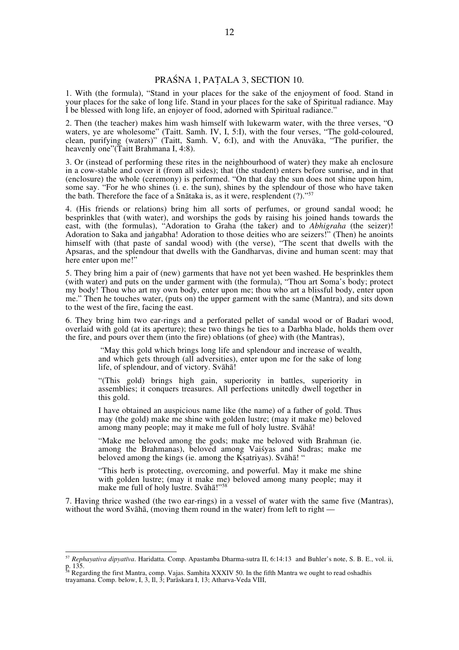# PRAŚNA 1, PAṬALA 3, SECTION 10.

1. With (the formula), "Stand in your places for the sake of the enjoyment of food. Stand in your places for the sake of long life. Stand in your places for the sake of Spiritual radiance. May I be blessed with long life, an enjoyer of food, adorned with Spiritual radiance."

2. Then (the teacher) makes him wash himself with lukewarm water, with the three verses, "O waters, ye are wholesome" (Taitt, Samh. IV, I, 5:I), with the four verses, "The gold-coloured, clean, purifying (waters)" (Taitt, Samh. V, 6:I), and with the Anuvāka, "The purifier, the heavenly one"(Taitt Brahmana I, 4:8).

3. Or (instead of performing these rites in the neighbourhood of water) they make ah enclosure in a cow-stable and cover it (from all sides); that (the student) enters before sunrise, and in that (enclosure) the whole (ceremony) is performed. "On that day the sun does not shine upon him, some say. "For he who shines (i. e. the sun), shines by the splendour of those who have taken the bath. Therefore the face of a Snātaka is, as it were, resplendent  $(?)$ ."<sup>5</sup>

4. (His friends or relations) bring him all sorts of perfumes, or ground sandal wood; he besprinkles that (with water), and worships the gods by raising his joined hands towards the east, with (the formulas), "Adoration to Graha (the taker) and to *Abhigraha* (the seizer)! Adoration to Saka and jaṅgabha! Adoration to those deities who are seizers!" (Then) he anoints himself with (that paste of sandal wood) with (the verse), "The scent that dwells with the Apsaras, and the splendour that dwells with the Gandharvas, divine and human scent: may that here enter upon me!"

5. They bring him a pair of (new) garments that have not yet been washed. He besprinkles them (with water) and puts on the under garment with (the formula), "Thou art Soma's body; protect my body! Thou who art my own body, enter upon me; thou who art a blissful body, enter upon me." Then he touches water, (puts on) the upper garment with the same (Mantra), and sits down to the west of the fire, facing the east.

6. They bring him two ear-rings and a perforated pellet of sandal wood or of Badari wood, overlaid with gold (at its aperture); these two things he ties to a Darbha blade, holds them over the fire, and pours over them (into the fire) oblations (of ghee) with (the Mantras),

 "May this gold which brings long life and splendour and increase of wealth, and which gets through (all adversities), enter upon me for the sake of long life, of splendour, and of victory. Svāhā!

"(This gold) brings high gain, superiority in battles, superiority in assemblies; it conquers treasures. All perfections unitedly dwell together in this gold.

I have obtained an auspicious name like (the name) of a father of gold. Thus may (the gold) make me shine with golden lustre; (may it make me) beloved among many people; may it make me full of holy lustre. Svāhā!

"Make me beloved among the gods; make me beloved with Brahman (ie. among the Brahmanas), beloved among Vaiśyas and Sudras; make me beloved among the kings (ie. among the Kṣatriyas). Svāhā! "

"This herb is protecting, overcoming, and powerful. May it make me shine with golden lustre; (may it make me) beloved among many people; may it make me full of holy lustre. Svāhā!"<sup>58</sup>

7. Having thrice washed (the two ear-rings) in a vessel of water with the same five (Mantras), without the word Svāhā, (moving them round in the water) from left to right -

<sup>57</sup> *Rephayativa dipyatīva*. Haridatta. Comp. Apastamba Dharma-sutra II, 6:14:13 and Buhler's note, S. B. E., vol. ii, p. 135.

<sup>&</sup>lt;sup>58</sup> Regarding the first Mantra, comp. Vajas. Samhita XXXIV 50. In the fifth Mantra we ought to read oshadhis trayamana. Comp. below, I, 3, Il, 3; Parāskara I, 13; Atharva-Veda VIII,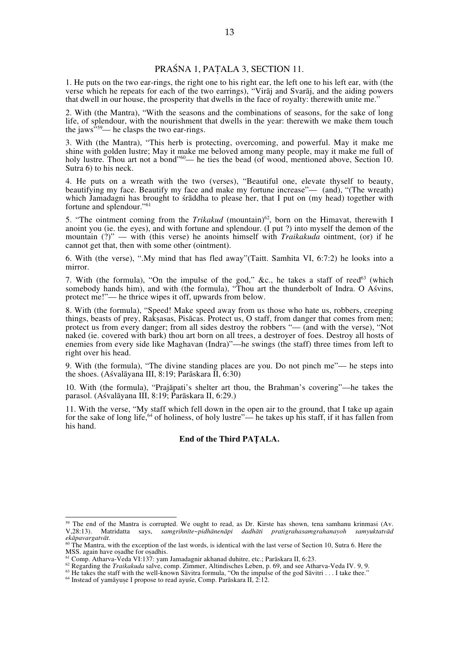# PRAŚNA 1, PAṬALA 3, SECTION 11.

1. He puts on the two ear-rings, the right one to his right ear, the left one to his left ear, with (the verse which he repeats for each of the two earrings), "Virāj and Svarāj, and the aiding powers that dwell in our house, the prosperity that dwells in the face of royalty: therewith unite me."

2. With (the Mantra), "With the seasons and the combinations of seasons, for the sake of long life, of splendour, with the nourishment that dwells in the year: therewith we make them touch the jaws<sup> $559$ </sup>— he clasps the two ear-rings.

3. With (the Mantra), "This herb is protecting, overcoming, and powerful. May it make me shine with golden lustre; May it make me beloved among many people, may it make me full of holy lustre. Thou art not a bond<sup>"60</sup>— he ties the bead (of wood, mentioned above, Section 10. Sutra 6) to his neck.

4. He puts on a wreath with the two (verses), "Beautiful one, elevate thyself to beauty, beautifying my face. Beautify my face and make my fortune increase"— (and), "(The wreath) which Jamadagni has brought to śrāddha to please her, that I put on (my head) together with fortune and splendour."<sup>61</sup>

5. "The ointment coming from the *Trikakud* (mountain)<sup>62</sup>, born on the Himavat, therewith I anoint you (ie. the eyes), and with fortune and splendour. (I put ?) into myself the demon of the mountain (?)" — with (this verse) he anoints himself with *Traikakuda* ointment, (or) if he cannot get that, then with some other (ointment).

6. With (the verse), ".My mind that has fled away"(Taitt. Samhita VI, 6:7:2) he looks into a mirror.

7. With (the formula), "On the impulse of the god," &c., he takes a staff of reed<sup>63</sup> (which somebody hands him), and with (the formula), "Thou art the thunderbolt of Indra. O Aśvins, protect me!"— he thrice wipes it off, upwards from below.

8. With (the formula), "Speed! Make speed away from us those who hate us, robbers, creeping things, beasts of prey, Rakṣasas, Pisācas. Protect us, O staff, from danger that comes from men; protect us from every danger; from all sides destroy the robbers "— (and with the verse), "Not naked (ie. covered with bark) thou art born on all trees, a destroyer of foes. Destroy all hosts of enemies from every side like Maghavan (Indra)"—he swings (the staff) three times from left to right over his head.

9. With (the formula), "The divine standing places are you. Do not pinch me"— he steps into the shoes. (Aśvalāyana III, 8:19; Parāskara  $\overline{II}$ , 6:30)

10. With (the formula), "Prajāpati's shelter art thou, the Brahman's covering"—he takes the parasol. (Aśvalāyana III, 8:19; Parāskara II, 6:29.)

11. With the verse, "My staff which fell down in the open air to the ground, that I take up again for the sake of long life,<sup>64</sup> of holiness, of holy lustre"— he takes up his staff, if it has fallen from his hand.

#### **End of the Third PAṬALA.**

<sup>&</sup>lt;sup>59</sup> The end of the Mantra is corrupted. We ought to read, as Dr. Kirste has shown, tena samhanu krinmasi (Av. V,28:13). Matridatta says, *samgrihnīte~pidhānenāpi dadhāti pratigrahasamgrahanayoh samyuktatvād* 

*ekāpavargatvāt.* <sup>60</sup> The Mantra, with the exception of the last words, is identical with the last verse of Section 10, Sutra 6. Here the MSS. again have osadhe for osadhis.

<sup>&</sup>lt;sup>61</sup> Comp. Atharva-Veda VI:137: yam Jamadagnir akhanad duhitre, etc.; Parāskara II, 6:23.<br><sup>62</sup> Regarding the *Traikakuda* salve, comp. Zimmer, Altindisches Leben, p. 69, and see Atharva-Veda IV. 9, 9.<br><sup>63</sup> He takes the st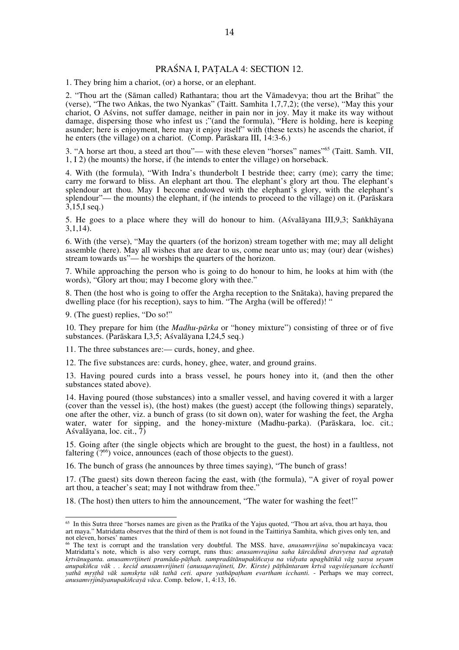# PRAŚNA I, PAṬALA 4: SECTION 12.

1. They bring him a chariot, (or) a horse, or an elephant.

2. "Thou art the (Sāman called) Rathantara; thou art the Vāmadevya; thou art the Brihat" the (verse), "The two Aṅkas, the two Nyankas" (Taitt. Samhita 1,7,7,2); (the verse), "May this your chariot, O Aśvins, not suffer damage, neither in pain nor in joy. May it make its way without damage, dispersing those who infest us ;"(and the formula), "Here is holding, here is keeping asunder; here is enjoyment, here may it enjoy itself" with (these texts) he ascends the chariot, if he enters (the village) on a chariot. (Comp. Parāskara III, 14:3-6.)

3. "A horse art thou, a steed art thou"— with these eleven "horses" names"65 (Taitt. Samh. VII, 1, I 2) (he mounts) the horse, if (he intends to enter the village) on horseback.

4. With (the formula), "With Indra's thunderbolt I bestride thee; carry (me); carry the time; carry me forward to bliss. An elephant art thou. The elephant's glory art thou. The elephant's splendour art thou. May I become endowed with the elephant's glory, with the elephant's splendour"— the mounts) the elephant, if (he intends to proceed to the village) on it. (Parāskara 3,15,I seq.)

5. He goes to a place where they will do honour to him. (Aśvalāyana III,9,3; Saṅkhāyana  $3,1,14$ ).

6. With (the verse), "May the quarters (of the horizon) stream together with me; may all delight assemble (here). May all wishes that are dear to us, come near unto us; may (our) dear (wishes) stream towards us"— he worships the quarters of the horizon.

7. While approaching the person who is going to do honour to him, he looks at him with (the words), "Glory art thou; may I become glory with thee."

8. Then (the host who is going to offer the Argha reception to the Snātaka), having prepared the dwelling place (for his reception), says to him. "The Argha (will be offered)! "

9. (The guest) replies, "Do so!"

10. They prepare for him (the *Madhu-pārka* or "honey mixture") consisting of three or of five substances. (Parāskara I,3,5; Aśvalāyana I,24,5 seq.)

11. The three substances are:— curds, honey, and ghee.

12. The five substances are: curds, honey, ghee, water, and ground grains.

13. Having poured curds into a brass vessel, he pours honey into it, (and then the other substances stated above).

14. Having poured (those substances) into a smaller vessel, and having covered it with a larger (cover than the vessel is), (the host) makes (the guest) accept (the following things) separately, one after the other, viz. a bunch of grass (to sit down on), water for washing the feet, the Argha water, water for sipping, and the honey-mixture (Madhu-parka). (Parāskara, loc. cit.; Aśvalāyana, loc. cit., 7)

15. Going after (the single objects which are brought to the guest, the host) in a faultless, not faltering  $(2^{66})$  voice, announces (each of those objects to the guest).

16. The bunch of grass (he announces by three times saying), "The bunch of grass!

17. (The guest) sits down thereon facing the east, with (the formula), "A giver of royal power art thou, a teacher's seat; may I not withdraw from thee."

18. (The host) then utters to him the announcement, "The water for washing the feet!"

<sup>&</sup>lt;sup>65</sup> In this Sutra three "horses names are given as the Pratīka of the Yajus quoted, "Thou art aśva, thou art haya, thou art maya." Matridatta observes that the third of them is not found in the Taittiriya Samhita, which gives only ten, and not eleven, horses' names

<sup>66</sup> The text is corrupt and the translation very doubtful. The MSS. have, *anusamvrijina* so'nupakincaya vaca: Matridatta's note, which is also very corrupt, runs thus: *anusamvrajina saha kūrcādinā dravyeṇa tad agrataḥ* krtvānuganta. anusamvrtjineti pramāda-pāthah. sampradātānupakiñcaya na vidyata upaghātikā vāg yasya seyam *anupakiñca vāk . . kecid anusamvrijineti (anusaµvrajineti, Dr. Kirste) pāṭhāntaram krtvā vagviśeṣanam icchanti*  yathā mṛṣṭhā vāk samskṛta vāk taihā ceti. apare yathāpaṭham evartham icchanti. - Perhaps we may correct, *anusamvṛjināyanupakiñcayā vāca*. Comp. below, 1, 4:13, 16.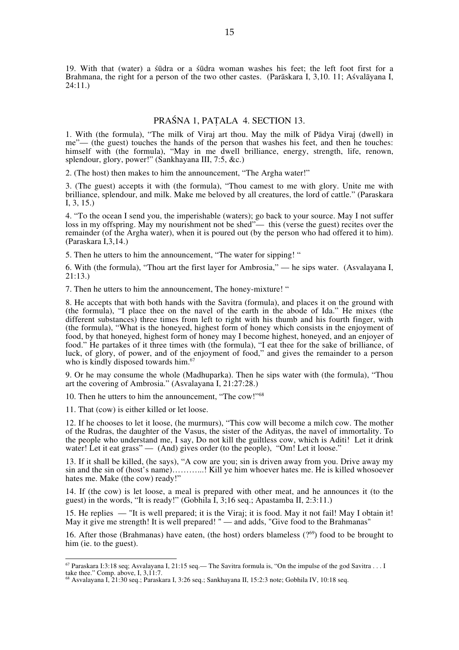19. With that (water) a śūdra or a śūdra woman washes his feet; the left foot first for a Brahmana, the right for a person of the two other castes. (Parāskara I, 3,10. 11; Aśvalāyana I, 24:11.)

### PRAŚNA 1, PAṬALA 4. SECTION 13.

1. With (the formula), "The milk of Viraj art thou. May the milk of Pādya Viraj (dwell) in me"— (the guest) touches the hands of the person that washes his feet, and then he touches: himself with (the formula), "May in me dwell brilliance, energy, strength, life, renown, splendour, glory, power!" (Sankhayana III, 7:5, &c.)

2. (The host) then makes to him the announcement, "The Argha water!"

3. (The guest) accepts it with (the formula), "Thou camest to me with glory. Unite me with brilliance, splendour, and milk. Make me beloved by all creatures, the lord of cattle." (Paraskara I, 3, 15.)

4. "To the ocean I send you, the imperishable (waters); go back to your source. May I not suffer loss in my offspring. May my nourishment not be shed"— this (verse the guest) recites over the remainder (of the Argha water), when it is poured out (by the person who had offered it to him). (Paraskara I,3,14.)

5. Then he utters to him the announcement, "The water for sipping! "

6. With (the formula), "Thou art the first layer for Ambrosia," — he sips water. (Asvalayana I, 21:13.)

7. Then he utters to him the announcement, The honey-mixture! "

8. He accepts that with both hands with the Savitra (formula), and places it on the ground with (the formula), "I place thee on the navel of the earth in the abode of Ida." He mixes (the different substances) three times from left to right with his thumb and his fourth finger, with (the formula), "What is the honeyed, highest form of honey which consists in the enjoyment of food, by that honeyed, highest form of honey may I become highest, honeyed, and an enjoyer of food." He partakes of it three times with (the formula), "I eat thee for the sake of brilliance, of luck, of glory, of power, and of the enjoyment of food," and gives the remainder to a person who is kindly disposed towards him.<sup>67</sup>

9. Or he may consume the whole (Madhuparka). Then he sips water with (the formula), "Thou art the covering of Ambrosia." (Asvalayana I, 21:27:28.)

10. Then he utters to him the announcement, "The cow!"<sup>68</sup>

11. That (cow) is either killed or let loose.

12. If he chooses to let it loose, (he murmurs), "This cow will become a milch cow. The mother of the Rudras, the daughter of the Vasus, the sister of the Adityas, the navel of immortality. To the people who understand me, I say, Do not kill the guiltless cow, which is Aditi! Let it drink water! Let it eat grass" — (And) gives order (to the people), "Om! Let it loose."

13. If it shall be killed, (he says), "A cow are you; sin is driven away from you. Drive away my sin and the sin of (host's name)………...! Kill ye him whoever hates me. He is killed whosoever hates me. Make (the cow) ready!"

14. If (the cow) is let loose, a meal is prepared with other meat, and he announces it (to the guest) in the words, "It is ready!" (Gobhila I, 3;16 seq.; Apastamba II, 2:3:11.)

15. He replies — "It is well prepared; it is the Viraj; it is food. May it not fail! May I obtain it! May it give me strength! It is well prepared! " — and adds, "Give food to the Brahmanas"

16. After those (Brahmanas) have eaten, (the host) orders blameless  $(2^{69})$  food to be brought to him (ie. to the guest).

67 Paraskara I:3:18 seq; Asvalayana I, 21:15 seq.— The Savitra formula is, "On the impulse of the god Savitra . . . I take thee." Comp. above, I, 3, 11:7.

<sup>68</sup> Asvalayana I, 21:30 seq.; Paraskara I, 3:26 seq.; Sankhayana II, 15:2:3 note; Gobhila IV, 10:18 seq.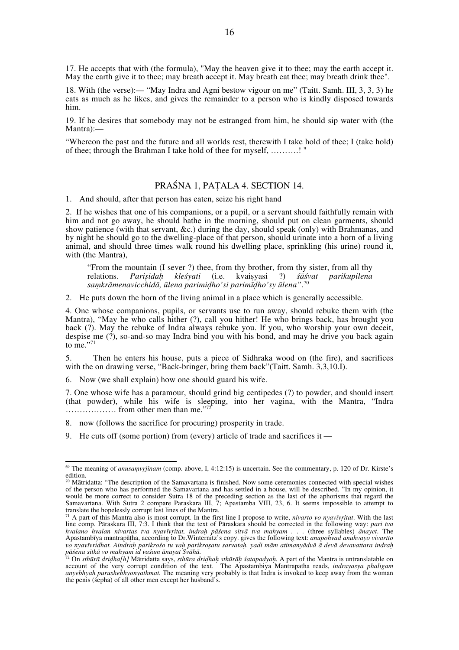17. He accepts that with (the formula), "May the heaven give it to thee; may the earth accept it. May the earth give it to thee; may breath accept it. May breath eat thee; may breath drink thee".

18. With (the verse):— "May Indra and Agni bestow vigour on me" (Taitt. Samh. III, 3, 3, 3) he eats as much as he likes, and gives the remainder to a person who is kindly disposed towards him.

19. If he desires that somebody may not be estranged from him, he should sip water with (the Mantra):—

"Whereon the past and the future and all worlds rest, therewith I take hold of thee; I (take hold) of thee; through the Brahman I take hold of thee for myself, ……….! "

# PRAŚNA 1, PAṬALA 4. SECTION 14.

1. And should, after that person has eaten, seize his right hand

2. If he wishes that one of his companions, or a pupil, or a servant should faithfully remain with him and not go away, he should bathe in the morning, should put on clean garments, should show patience (with that servant, &c.) during the day, should speak (only) with Brahmanas, and by night he should go to the dwelling-place of that person, should urinate into a horn of a living animal, and should three times walk round his dwelling place, sprinkling (his urine) round it, with (the Mantra),

"From the mountain (I sever ?) thee, from thy brother, from thy sister, from all thy relations. *Parisidah klesvati* (i.e. kvaisyasi ?) *sāsvat parikupilena Parisidah kleśyati saṃkrāmenavicchidā, ūlena parimiḍho'si parimīḍho'sy ūlena"*. 70

2. He puts down the horn of the living animal in a place which is generally accessible.

4. One whose companions, pupils, or servants use to run away, should rebuke them with (the Mantra), "May he who calls hither (?), call you hither! He who brings back, has brought you back (?). May the rebuke of Indra always rebuke you. If you, who worship your own deceit, despise me (?), so-and-so may Indra bind you with his bond, and may he drive you back again to me $\cdot$ <sup>71</sup>

5. Then he enters his house, puts a piece of Sidhraka wood on (the fire), and sacrifices with the on drawing verse, "Back-bringer, bring them back"(Taitt. Samh. 3,3,10.I).

6. Now (we shall explain) how one should guard his wife.

7. One whose wife has a paramour, should grind big centipedes (?) to powder, and should insert (that powder), while his wife is sleeping, into her vagina, with the Mantra, "Indra ……………… from other men than me."72

8. now (follows the sacrifice for procuring) prosperity in trade.

9. He cuts off (some portion) from (every) article of trade and sacrifices it —

69 The meaning of *anusaṃvṛjinam* (comp. above, I, 4:12:15) is uncertain. See the commentary, p. 120 of Dr. Kirste's edition.

 $\frac{70}{10}$  Mātridatta: "The description of the Samavartana is finished. Now some ceremonies connected with special wishes of the person who has performed the Samavartana and has settled in a house, will be described. "In my opinion, it would be more correct to consider Sutra 18 of the preceding section as the last of the aphorisms that regard the Samavartana. With Sutra 2 compare Paraskara III, 7; Apastamba VIII, 23, 6. It seems impossible to attempt to translate the hopelessly corrupt last lines of the Mantra.

<sup>71</sup> A part of this Mantra also is most corrupt. In the first line I propose to write, *nivarto vo nyavīvṛitat*. With the last line comp. Pāraskara III, 7:3. I think that the text of Pāraskara should be corrected in the following way: *pari tva hvalano hvalan nivartas tva nyavīvṛitat, indraḥ pāśena sitvā tva mahyam . . .* (three syllables) *ānayet*. The Apastambīya mantrapāṭha, according to Dr.Winternitz's copy. gives the following text: *anupohvad anuhvayo vivartto*  vo nyavīvridhat. Aindrah parikrośo tu vah parikrosatu sarvatah. yadi mām atimanyādvā ā devā devavattara indrah

pāśena sitkā vo mahyam id vaśam ānayat Svāhā.<br><sup>72</sup> On sthūrā driḍha[h] Mātridatta says, *sthūra driḍhaḥ sthūrāḥ śatapadyaḥ.* A part of the Mantra is untranslatable on account of the very corrupt condition of the text. The Apastambiya Mantrapatha reads, *indrayasya phaligam anyebhyah purushebhyonyathmat.* The meaning very probably is that Indra is invoked to keep away from the woman the penis (śepha) of all other men except her husband's.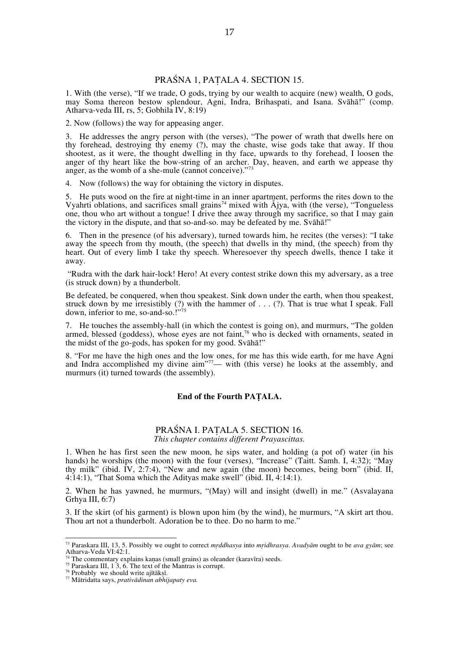# PRAŚNA 1, PAṬALA 4. SECTION 15.

1. With (the verse), "If we trade, O gods, trying by our wealth to acquire (new) wealth, O gods, may Soma thereon bestow splendour, Agni, Indra, Brihaspati, and Isana. Svāhā!" (comp. Atharva-veda III, rs, 5; Gobhila IV, 8:19)

2. Now (follows) the way for appeasing anger.

3. He addresses the angry person with (the verses), "The power of wrath that dwells here on thy forehead, destroying thy enemy (?), may the chaste, wise gods take that away. If thou shootest, as it were, the thought dwelling in thy face, upwards to thy forehead, I loosen the anger of thy heart like the bow-string of an archer. Day, heaven, and earth we appease thy anger, as the womb of a she-mule (cannot conceive)."<sup>73</sup>

4. Now (follows) the way for obtaining the victory in disputes.

5. He puts wood on the fire at night-time in an inner apartment, performs the rites down to the Vyahrti oblations, and sacrifices small grains<sup>74</sup> mixed with  $\AA$ jya, with (the verse), "Tongueless one, thou who art without a tongue! I drive thee away through my sacrifice, so that I may gain the victory in the dispute, and that so-and-so. may be defeated by me. Svāhā!"

6. Then in the presence (of his adversary), turned towards him, he recites (the verses): "I take away the speech from thy mouth, (the speech) that dwells in thy mind, (the speech) from thy heart. Out of every limb I take thy speech. Wheresoever thy speech dwells, thence I take it away.

 "Rudra with the dark hair-lock! Hero! At every contest strike down this my adversary, as a tree (is struck down) by a thunderbolt.

Be defeated, be conquered, when thou speakest. Sink down under the earth, when thou speakest, struck down by me irresistibly (?) with the hammer of . . . (?). That is true what I speak. Fall down, inferior to me, so-and-so.!"

7. He touches the assembly-hall (in which the contest is going on), and murmurs, "The golden armed, blessed (goddess), whose eyes are not faint,<sup>76</sup> who is decked with ornaments, seated in the midst of the go-gods, has spoken for my good. Svāhā!"

8. "For me have the high ones and the low ones, for me has this wide earth, for me have Agni and Indra accomplished my divine aim<sup>"77</sup>— with (this verse) he looks at the assembly, and murmurs (it) turned towards (the assembly).

#### **End of the Fourth PAṬALA.**

#### PRAŚNA I. PAṬALA 5. SECTION 16. *This chapter contains different Prayascittas.*

1. When he has first seen the new moon, he sips water, and holding (a pot of) water (in his hands) he worships (the moon) with the four (verses), "Increase" (Taitt. Samh. I, 4:32); "May thy milk" (ibid. IV, 2:7:4), "New and new again (the moon) becomes, being born" (ibid. II, 4:14:1), "That Soma which the Adityas make swell" (ibid. II, 4:14:1).

2. When he has yawned, he murmurs, "(May) will and insight (dwell) in me." (Asvalayana Grhya III, 6:7)

3. If the skirt (of his garment) is blown upon him (by the wind), he murmurs, "A skirt art thou. Thou art not a thunderbolt. Adoration be to thee. Do no harm to me."

73 Paraskara III, 13, 5. Possibly we ought to correct *mṛddhasya* into *mṛidhrasya*. *Avadyām* ought to be *ava gyām*; see

Tharva-Veda VI:12:1.<br>
The commentary explains kaṇas (small grains) as oleander (karavīra) seeds.<br>
<sup>75</sup> Paraskara III, 1 3, 6. The text of the Mantras is corrupt.<br>
<sup>76</sup> Probably we should write ajītākṣī.

<sup>76</sup> Probably we should write ajītākṣī. 77 Mātridatta says, *prativādinan abhijapaty eva.*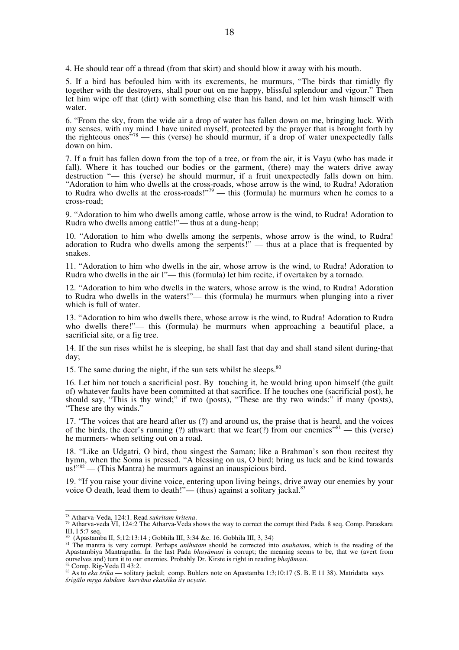4. He should tear off a thread (from that skirt) and should blow it away with his mouth.

5. If a bird has befouled him with its excrements, he murmurs, "The birds that timidly fly together with the destroyers, shall pour out on me happy, blissful splendour and vigour." Then let him wipe off that (dirt) with something else than his hand, and let him wash himself with water.

6. "From the sky, from the wide air a drop of water has fallen down on me, bringing luck. With my senses, with my mind I have united myself, protected by the prayer that is brought forth by the righteous ones<sup> $378$ </sup> — this (verse) he should murmur, if a drop of water unexpectedly falls down on him.

7. If a fruit has fallen down from the top of a tree, or from the air, it is Vayu (who has made it fall). Where it has touched our bodies or the garment, (there) may the waters drive away destruction "— this (verse) he should murmur, if a fruit unexpectedly falls down on him. "Adoration to him who dwells at the cross-roads, whose arrow is the wind, to Rudra! Adoration to Rudra who dwells at the cross-roads!"<sup>79</sup> — this (formula) he murmurs when he comes to a cross-road;

9. "Adoration to him who dwells among cattle, whose arrow is the wind, to Rudra! Adoration to Rudra who dwells among cattle!"— thus at a dung-heap;

10. "Adoration to him who dwells among the serpents, whose arrow is the wind, to Rudra! adoration to Rudra who dwells among the serpents!" — thus at a place that is frequented by snakes.

11. "Adoration to him who dwells in the air, whose arrow is the wind, to Rudra! Adoration to Rudra who dwells in the air l"— this (formula) let him recite, if overtaken by a tornado.

12. "Adoration to him who dwells in the waters, whose arrow is the wind, to Rudra! Adoration to Rudra who dwells in the waters!"— this (formula) he murmurs when plunging into a river which is full of water.

13. "Adoration to him who dwells there, whose arrow is the wind, to Rudra! Adoration to Rudra who dwells there!"— this (formula) he murmurs when approaching a beautiful place, a sacrificial site, or a fig tree.

14. If the sun rises whilst he is sleeping, he shall fast that day and shall stand silent during-that day;

15. The same during the night, if the sun sets whilst he sleeps. $80$ 

16. Let him not touch a sacrificial post. By touching it, he would bring upon himself (the guilt of) whatever faults have been committed at that sacrifice. If he touches one (sacrificial post), he should say, "This is thy wind;" if two (posts), "These are thy two winds:" if many (posts), "These are thy winds."

17. "The voices that are heard after us (?) and around us, the praise that is heard, and the voices of the birds, the deer's running (?) athwart: that we fear(?) from our enemies<sup> $\frac{1}{10}$ </sup> — this (verse) he murmers- when setting out on a road.

18. "Like an Udgatri, O bird, thou singest the Saman; like a Brahman's son thou recitest thy hymn, when the Soma is pressed. "A blessing on us, O bird; bring us luck and be kind towards us!"82 — (This Mantra) he murmurs against an inauspicious bird.

19. "If you raise your divine voice, entering upon living beings, drive away our enemies by your voice O death, lead them to death!"— (thus) against a solitary jackal.<sup>83</sup>

<sup>&</sup>lt;sup>78</sup> Atharva-Veda, 124:1. Read *sukritam kritena*.<br><sup>79</sup> Atharva-veda VI, 124:2 The Atharva-Veda shows the way to correct the corrupt third Pada. 8 seq. Comp. Paraskara III, I 5:7 seq.

<sup>80 (</sup>Apastamba II, 5;12:13:14 ; Gobhila III, 3:34 &c. 16. Gobhila III, 3, 34)

<sup>81</sup> The mantra is very corrupt. Perhaps *anihutam* should be corrected into *anuhatam*, which is the reading of the Apastambiya Mantrapatha. In the last Pada *bhayāmasi* is corrupt; the meaning seems to be, that we (avert from ourselves and) turn it to our enemies. Probably Dr. Kirste is right in reading *bhajāmasi.*<br><sup>82</sup> Comp. Rig-Veda II 43:2.<br><sup>83</sup> As to *eka śrika* — solitary jackal; comp. Buhlers note on Apastamba 1:3;10:17 (S. B. E 11 38).

*śrigālo mṛga śabdam kurvāna ekasśika ity ucyate*.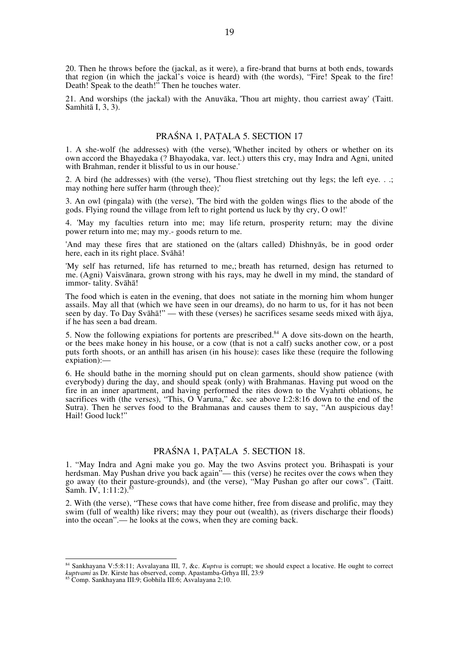20. Then he throws before the (jackal, as it were), a fire-brand that burns at both ends, towards that region (in which the jackal's voice is heard) with (the words), "Fire! Speak to the fire! Death! Speak to the death!" Then he touches water.

21. And worships (the jackal) with the Anuvāka, 'Thou art mighty, thou carriest away' (Taitt. Samhitā I, 3, 3).

# PRAŚNA 1, PAṬALA 5. SECTION 17

1. A she-wolf (he addresses) with (the verse), 'Whether incited by others or whether on its own accord the Bhayedaka (? Bhayodaka, var. lect.) utters this cry, may Indra and Agni, united with Brahman, render it blissful to us in our house.'

2. A bird (he addresses) with (the verse), 'Thou fliest stretching out thy legs; the left eye. . .; may nothing here suffer harm (through thee);'

3. An owl (pingala) with (the verse), 'The bird with the golden wings flies to the abode of the gods. Flying round the village from left to right portend us luck by thy cry, O owl!'

4. 'May my faculties return into me; may life return, prosperity return; may the divine power return into me; may my.- goods return to me.

'And may these fires that are stationed on the (altars called) Dhishnyās, be in good order here, each in its right place. Svāhā!

'My self has returned, life has returned to me,; breath has returned, design has returned to me. (Agni) Vaisvānara, grown strong with his rays, may he dwell in my mind, the standard of immor- tality. Svāhā!

The food which is eaten in the evening, that does not satiate in the morning him whom hunger assails. May all that (which we have seen in our dreams), do no harm to us, for it has not been seen by day. To Day Svāhā!" — with these (verses) he sacrifices sesame seeds mixed with ājya, if he has seen a bad dream.

5. Now the following expiations for portents are prescribed.<sup>84</sup> A dove sits-down on the hearth, or the bees make honey in his house, or a cow (that is not a calf) sucks another cow, or a post puts forth shoots, or an anthill has arisen (in his house): cases like these (require the following expiation):—

6. He should bathe in the morning should put on clean garments, should show patience (with everybody) during the day, and should speak (only) with Brahmanas. Having put wood on the fire in an inner apartment, and having performed the rites down to the Vyahrti oblations, he sacrifices with (the verses), "This, O Varuna," &c. see above I:2:8:16 down to the end of the Sutra). Then he serves food to the Brahmanas and causes them to say, "An auspicious day! Hail! Good luck!"

### PRAŚNA 1, PAṬALA 5. SECTION 18.

1. "May Indra and Agni make you go. May the two Asvins protect you. Brihaspati is your herdsman. May Pushan drive you back again"— this (verse) he recites over the cows when they go away (to their pasture-grounds), and (the verse), "May Pushan go after our cows". (Taitt. Samh. IV, 1:11:2).85

2. With (the verse), "These cows that have come hither, free from disease and prolific, may they swim (full of wealth) like rivers; may they pour out (wealth), as (rivers discharge their floods) into the ocean".— he looks at the cows, when they are coming back.

84 Sankhayana V:5:8:11; Asvalayana III, 7, &c. *Kuptva* is corrupt; we should expect a locative. He ought to correct *kuptvami* as Dr. Kirste has observed, comp. Apastamba-Grhya III, 23:9 85 Comp. Sankhayana III:9; Gobhila III:6; Asvalayana 2;10.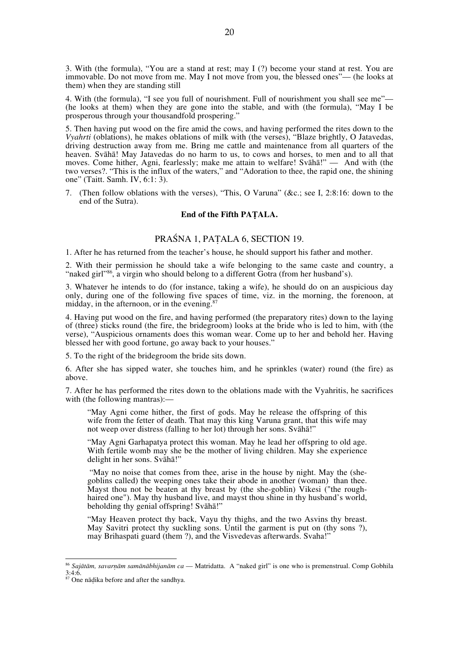3. With (the formula), "You are a stand at rest; may I (?) become your stand at rest. You are immovable. Do not move from me. May I not move from you, the blessed ones"— (he looks at them) when they are standing still

4. With (the formula), "I see you full of nourishment. Full of nourishment you shall see me"— (he looks at them) when they are gone into the stable, and with (the formula), "May I be prosperous through your thousandfold prospering."

5. Then having put wood on the fire amid the cows, and having performed the rites down to the *Vyahrti* (oblations), he makes oblations of milk with (the verses), "Blaze brightly, O Jatavedas, driving destruction away from me. Bring me cattle and maintenance from all quarters of the heaven. Svāhā! May Jatavedas do no harm to us, to cows and horses, to men and to all that moves. Come hither, Agni, fearlessly; make me attain to welfare! Svāhā!" — And with (the two verses?. "This is the influx of the waters," and "Adoration to thee, the rapid one, the shining one" (Taitt. Samh. IV, 6:1: 3).

7. (Then follow oblations with the verses), "This, O Varuna" (&c.; see I, 2:8:16: down to the end of the Sutra).

#### **End of the Fifth PAṬALA.**

# PRAŚNA 1, PAṬALA 6, SECTION 19.

1. After he has returned from the teacher's house, he should support his father and mother.

2. With their permission he should take a wife belonging to the same caste and country, a "naked girl"<sup>86</sup>, a virgin who should belong to a different Gotra (from her husband's).

3. Whatever he intends to do (for instance, taking a wife), he should do on an auspicious day only, during one of the following five spaces of time, viz. in the morning, the forenoon, at midday, in the afternoon, or in the evening. $8$ 

4. Having put wood on the fire, and having performed (the preparatory rites) down to the laying of (three) sticks round (the fire, the bridegroom) looks at the bride who is led to him, with (the verse), "Auspicious ornaments does this woman wear. Come up to her and behold her. Having blessed her with good fortune, go away back to your houses."

5. To the right of the bridegroom the bride sits down.

6. After she has sipped water, she touches him, and he sprinkles (water) round (the fire) as above.

7. After he has performed the rites down to the oblations made with the Vyahritis, he sacrifices with (the following mantras):—

"May Agni come hither, the first of gods. May he release the offspring of this wife from the fetter of death. That may this king Varuna grant, that this wife may not weep over distress (falling to her lot) through her sons. Svāhā!"

"May Agni Garhapatya protect this woman. May he lead her offspring to old age. With fertile womb may she be the mother of living children. May she experience delight in her sons. Svāhā!"

"May no noise that comes from thee, arise in the house by night. May the (she-goblins called) the weeping ones take their abode in another (woman) than thee. Mayst thou not be beaten at thy breast by (the she-goblin) Vikesi ("the roughhaired one"). May thy husband live, and mayst thou shine in thy husband's world, beholding thy genial offspring! Svāhā!"

"May Heaven protect thy back, Vayu thy thighs, and the two Asvins thy breast. May Savitri protect thy suckling sons. Until the garment is put on (thy sons ?), may Brihaspati guard (them ?), and the Visvedevas afterwards. Svaha!"

<sup>86</sup> *Sajātām, savarṇām samānābhijanām ca* — Matridatta. A "naked girl" is one who is premenstrual. Comp Gobhila 3:4:6.

<sup>87</sup> One nāḍika before and after the sandhya.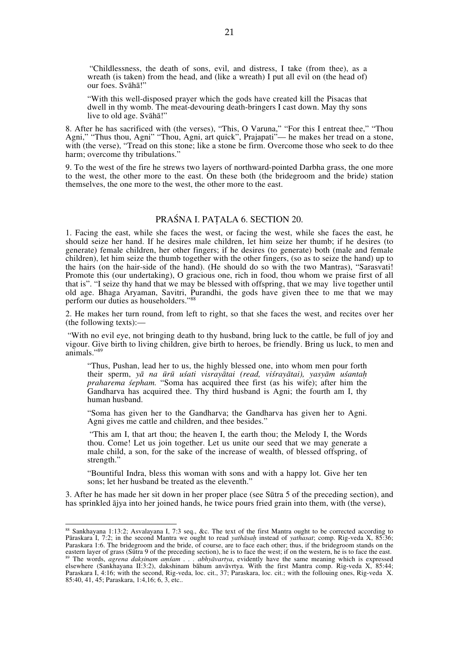"Childlessness, the death of sons, evil, and distress, I take (from thee), as a wreath (is taken) from the head, and (like a wreath) I put all evil on (the head of) our foes. Svāhā!"

"With this well-disposed prayer which the gods have created kill the Pisacas that dwell in thy womb. The meat-devouring death-bringers I cast down. May thy sons live to old age. Svāhā!"

8. After he has sacrificed with (the verses), "This, O Varuna," "For this I entreat thee," "Thou Agni," "Thus thou, Agni" "Thou, Agni, art quick", Prajapati"— he makes her tread on a stone, with (the verse), "Tread on this stone; like a stone be firm. Overcome those who seek to do thee harm; overcome thy tribulations."

9. To the west of the fire he strews two layers of northward-pointed Darbha grass, the one more to the west, the other more to the east. On these both (the bridegroom and the bride) station themselves, the one more to the west, the other more to the east.

#### PRAŚNA I. PAṬALA 6. SECTION 20.

1. Facing the east, while she faces the west, or facing the west, while she faces the east, he should seize her hand. If he desires male children, let him seize her thumb; if he desires (to generate) female children, her other fingers; if he desires (to generate) both (male and female children), let him seize the thumb together with the other fingers, (so as to seize the hand) up to the hairs (on the hair-side of the hand). (He should do so with the two Mantras), "Sarasvati! Promote this (our undertaking), O gracious one, rich in food, thou whom we praise first of all that is". "I seize thy hand that we may be blessed with offspring, that we may live together until old age. Bhaga Aryaman, Savitri, Purandhi, the gods have given thee to me that we may perform our duties as householders."<sup>88</sup>

2. He makes her turn round, from left to right, so that she faces the west, and recites over her (the following texts):—

 "With no evil eye, not bringing death to thy husband, bring luck to the cattle, be full of joy and vigour. Give birth to living children, give birth to heroes, be friendly. Bring us luck, to men and animals."<sup>89</sup>

"Thus, Pushan, lead her to us, the highly blessed one, into whom men pour forth their sperm, *yā na ūrū uśati visrayātai (read, viśrayātai), yasyām uśantaḥ praharema śepham.* "Soma has acquired thee first (as his wife); after him the Gandharva has acquired thee. Thy third husband is Agni; the fourth am I, thy human husband.

"Soma has given her to the Gandharva; the Gandharva has given her to Agni. Agni gives me cattle and children, and thee besides."

 "This am I, that art thou; the heaven I, the earth thou; the Melody I, the Words thou. Come! Let us join together. Let us unite our seed that we may generate a male child, a son, for the sake of the increase of wealth, of blessed offspring, of strength."

"Bountiful Indra, bless this woman with sons and with a happy lot. Give her ten sons; let her husband be treated as the eleventh."

3. After he has made her sit down in her proper place (see Sūtra 5 of the preceding section), and has sprinkled ājya into her joined hands, he twice pours fried grain into them, with (the verse),

<sup>88</sup> Sankhayana 1:13:2; Asvalayana I, 7:3 seq., &c. The text of the first Mantra ought to be corrected according to Pāraskara I, 7:2; in the second Mantra we ought to read *yathāsaḥ* instead of *yathasat*; comp. Rig-veda X, 85:36; Paraskara 1:6. The bridegroom and the bride, of course, are to face each other; thus, if the bridegroom stands on the eastern layer of grass (Sūtra 9 of the preceding section), he is to face the west; if on the western, he is to face the east.<br><sup>89</sup> The words, *agrena dakṣinam aṃśam . . . abhyāvartya*, evidently have the same meaning which elsewhere (Sankhayana II:3:2), dakshinam bāhum anvāvrtya. With the first Mantra comp. Rig-veda X, 85:44; Paraskara I, 4:16; with the second, Rig-veda, loc. cit., 37; Paraskara, loc. cit.; with the follouing ones, Rig-veda X. 85:40, 41, 45; Paraskara, 1:4,16; 6, 3, etc..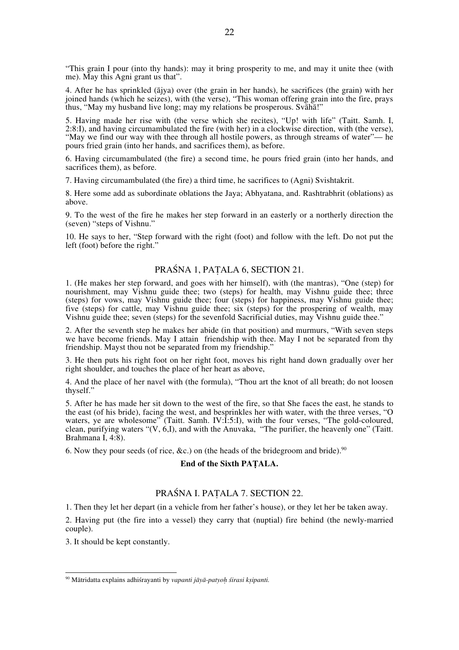"This grain I pour (into thy hands): may it bring prosperity to me, and may it unite thee (with me). May this Agni grant us that".

4. After he has sprinkled (ājya) over (the grain in her hands), he sacrifices (the grain) with her joined hands (which he seizes), with (the verse), "This woman offering grain into the fire, prays thus, "May my husband live long; may my relations be prosperous. Svāhā!"

5. Having made her rise with (the verse which she recites), "Up! with life" (Taitt. Samh. I, 2:8:I), and having circumambulated the fire (with her) in a clockwise direction, with (the verse), "May we find our way with thee through all hostile powers, as through streams of water"— he pours fried grain (into her hands, and sacrifices them), as before.

6. Having circumambulated (the fire) a second time, he pours fried grain (into her hands, and sacrifices them), as before.

7. Having circumambulated (the fire) a third time, he sacrifices to (Agni) Svishtakrit.

8. Here some add as subordinate oblations the Jaya; Abhyatana, and. Rashtrabhrit (oblations) as above.

9. To the west of the fire he makes her step forward in an easterly or a northerly direction the (seven) "steps of Vishnu."

10. He says to her, "Step forward with the right (foot) and follow with the left. Do not put the left (foot) before the right."

# PRAŚNA 1, PAṬALA 6, SECTION 21.

1. (He makes her step forward, and goes with her himself), with (the mantras), "One (step) for nourishment, may Vishnu guide thee; two (steps) for health, may Vishnu guide thee; three (steps) for vows, may Vishnu guide thee; four (steps) for happiness, may Vishnu guide thee; five (steps) for cattle, may Vishnu guide thee; six (steps) for the prospering of wealth, may Vishnu guide thee; seven (steps) for the sevenfold Sacrificial duties, may Vishnu guide thee."

2. After the seventh step he makes her abide (in that position) and murmurs, "With seven steps we have become friends. May I attain friendship with thee. May I not be separated from thy friendship. Mayst thou not be separated from my friendship."

3. He then puts his right foot on her right foot, moves his right hand down gradually over her right shoulder, and touches the place of her heart as above,

4. And the place of her navel with (the formula), "Thou art the knot of all breath; do not loosen thyself."

5. After he has made her sit down to the west of the fire, so that She faces the east, he stands to the east (of his bride), facing the west, and besprinkles her with water, with the three verses, "O waters, ye are wholesome" (Taitt. Samh. IV:I:5:I), with the four verses, "The gold-coloured, clean, purifying waters "(V, 6,I), and with the Anuvaka, "The purifier, the heavenly one" (Taitt. Brahmana I, 4:8).

6. Now they pour seeds (of rice, &c.) on (the heads of the bridegroom and bride).<sup>90</sup>

#### **End of the Sixth PAṬALA.**

# PRAŚNA I. PAṬALA 7. SECTION 22.

1. Then they let her depart (in a vehicle from her father's house), or they let her be taken away.

2. Having put (the fire into a vessel) they carry that (nuptial) fire behind (the newly-married couple).

3. It should be kept constantly.

90 Mātridatta explains adhiśrayanti by *vapanti jāyā-patyo<sup>ḥ</sup> <sup>ś</sup>irasi kṣipanti.*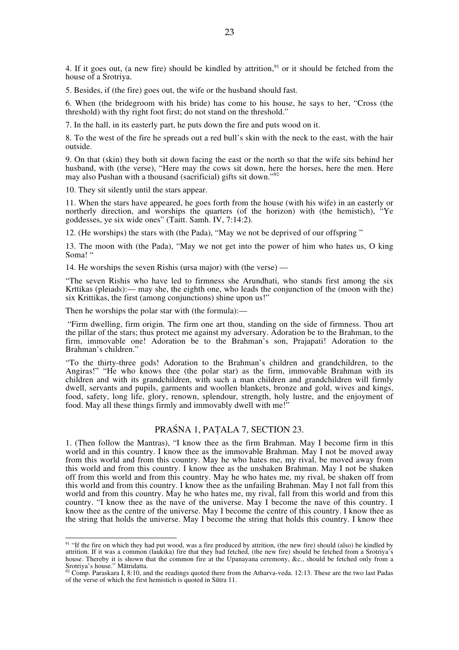4. If it goes out, (a new fire) should be kindled by attrition,  $9<sup>1</sup>$  or it should be fetched from the house of a Srotriya.

5. Besides, if (the fire) goes out, the wife or the husband should fast.

6. When (the bridegroom with his bride) has come to his house, he says to her, "Cross (the threshold) with thy right foot first; do not stand on the threshold."

7. In the hall, in its easterly part, he puts down the fire and puts wood on it.

8. To the west of the fire he spreads out a red bull's skin with the neck to the east, with the hair outside.

9. On that (skin) they both sit down facing the east or the north so that the wife sits behind her husband, with (the verse), "Here may the cows sit down, here the horses, here the men. Here may also Pushan with a thousand (sacrificial) gifts sit down."<sup>92</sup>

10. They sit silently until the stars appear.

11. When the stars have appeared, he goes forth from the house (with his wife) in an easterly or northerly direction, and worships the quarters (of the horizon) with (the hemistich), "Ye goddesses, ye six wide ones" (Taitt. Samh. IV, 7:14:2).

12. (He worships) the stars with (the Pada), "May we not be deprived of our offspring "

13. The moon with (the Pada), "May we not get into the power of him who hates us, O king Soma! "

14. He worships the seven Rishis (ursa major) with (the verse) —

"The seven Rishis who have led to firmness she Arundhati, who stands first among the six Krttikas (pleiads):— may she, the eighth one, who leads the conjunction of the (moon with the) six Krittikas, the first (among conjunctions) shine upon us!"

Then he worships the polar star with (the formula):—

 "Firm dwelling, firm origin. The firm one art thou, standing on the side of firmness. Thou art the pillar of the stars; thus protect me against my adversary. Adoration be to the Brahman, to the firm, immovable one! Adoration be to the Brahman's son, Prajapati! Adoration to the Brahman's children."

"To the thirty-three gods! Adoration to the Brahman's children and grandchildren, to the Angiras!" "He who knows thee (the polar star) as the firm, immovable Brahman with its children and with its grandchildren, with such a man children and grandchildren will firmly dwell, servants and pupils, garments and woollen blankets, bronze and gold, wives and kings, food, safety, long life, glory, renown, splendour, strength, holy lustre, and the enjoyment of food. May all these things firmly and immovably dwell with me!"

### PRAŚNA 1, PAṬALA 7, SECTION 23.

1. (Then follow the Mantras), "I know thee as the firm Brahman. May I become firm in this world and in this country. I know thee as the immovable Brahman. May I not be moved away from this world and from this country. May he who hates me, my rival, be moved away from this world and from this country. I know thee as the unshaken Brahman. May I not be shaken off from this world and from this country. May he who hates me, my rival, be shaken off from this world and from this country. I know thee as the unfailing Brahman. May I not fall from this world and from this country. May he who hates me, my rival, fall from this world and from this country. "I know thee as the nave of the universe. May I become the nave of this country. I know thee as the centre of the universe. May I become the centre of this country. I know thee as the string that holds the universe. May I become the string that holds this country. I know thee

<sup>91 &</sup>quot;If the fire on which they had put wood, was a fire produced by attrition, (the new fire) should (also) be kindled by attrition. If it was a common (laukika) fire that they had fetched, (the new fire) should be fetched from a Srotriya's house. Thereby it is shown that the common fire at the Upanayana ceremony, &c., should be fetched only from a Srotriya's house." Mātridatta.<br>
92 Comp. Paraskara I, 8:10, and the readings quoted there from the Atharva-veda. 12:13. These are the two last Padas

of the verse of which the first hemistich is quoted in Sūtra 11.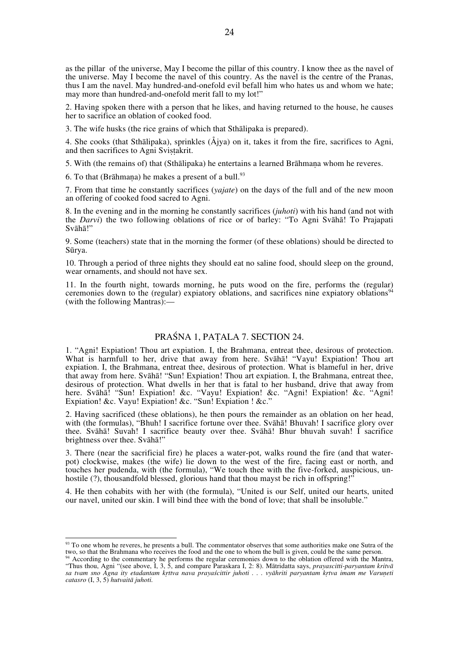as the pillar of the universe, May I become the pillar of this country. I know thee as the navel of the universe. May I become the navel of this country. As the navel is the centre of the Pranas, thus I am the navel. May hundred-and-onefold evil befall him who hates us and whom we hate; may more than hundred-and-onefold merit fall to my lot!"

2. Having spoken there with a person that he likes, and having returned to the house, he causes her to sacrifice an oblation of cooked food.

3. The wife husks (the rice grains of which that Sthālipaka is prepared).

4. She cooks (that Sthālipaka), sprinkles (Åjya) on it, takes it from the fire, sacrifices to Agni, and then sacrifices to Agni Svistakrit.

5. With (the remains of) that (Sthālipaka) he entertains a learned Brāhmaṇa whom he reveres.

6. To that (Brāhmana) he makes a present of a bull. $93$ 

7. From that time he constantly sacrifices (*yajate*) on the days of the full and of the new moon an offering of cooked food sacred to Agni.

8. In the evening and in the morning he constantly sacrifices (*juhoti*) with his hand (and not with the *Darvi*) the two following oblations of rice or of barley: "To Agni Svāhā! To Prajapati Svāhā!"

9. Some (teachers) state that in the morning the former (of these oblations) should be directed to Sūrya.

10. Through a period of three nights they should eat no saline food, should sleep on the ground, wear ornaments, and should not have sex.

11. In the fourth night, towards morning, he puts wood on the fire, performs the (regular) ceremonies down to the (regular) expiatory oblations, and sacrifices nine expiatory oblations<sup>94</sup> (with the following Mantras):—

# PRAŚNA 1, PAṬALA 7. SECTION 24.

1. "Agni! Expiation! Thou art expiation. I, the Brahmana, entreat thee, desirous of protection. What is harmfull to her, drive that away from here. Svāhā! "Vayu! Expiation! Thou art expiation. I, the Brahmana, entreat thee, desirous of protection. What is blameful in her, drive that away from here. Svāhā! "Sun! Expiation! Thou art expiation. I, the Brahmana, entreat thee, desirous of protection. What dwells in her that is fatal to her husband, drive that away from here. Svāhā! "Sun! Expiation! &c. "Vayu! Expiation! &c. "Agni! Expiation! &c. "Agni! Expiation! &c. Vayu! Expiation! &c. "Sun! Expiation ! &c."

2. Having sacrificed (these oblations), he then pours the remainder as an oblation on her head, with (the formulas), "Bhuh! I sacrifice fortune over thee. Svaha! Bhuvah! I sacrifice glory over thee. Svāhā! Suvah! I sacrifice beauty over thee. Svāhā! Bhur bhuvah suvah! I sacrifice brightness over thee. Svāhā!"

3. There (near the sacrificial fire) he places a water-pot, walks round the fire (and that waterpot) clockwise, makes (the wife) lie down to the west of the fire, facing east or north, and touches her pudenda, with (the formula), "We touch thee with the five-forked, auspicious, unhostile (?), thousandfold blessed, glorious hand that thou mayst be rich in offspring!

4. He then cohabits with her with (the formula), "United is our Self, united our hearts, united our navel, united our skin. I will bind thee with the bond of love; that shall be insoluble."

<sup>93</sup> To one whom he reveres, he presents a bull. The commentator observes that some authorities make one Sutra of the two, so that the Brahmana who receives the food and the one to whom the bull is given, could be the same person.

<sup>&</sup>lt;sup>94</sup> According to the commentary he performs the regular ceremonies down to the oblation offered with the Mantra, "Thus thou, Agni "(see above, I, 3, 5, and compare Paraskara I, 2: 8). Mātridatta says, *prayascitti-paryantam kritvā sa tvam sno Agna ity etadantam kṛttva nava prayaścittir juhoti . . . vyāhriti paryantam kṛtva imam me Varuṇeti catasro* (I, 3, 5) *hutvaitā juhoti.*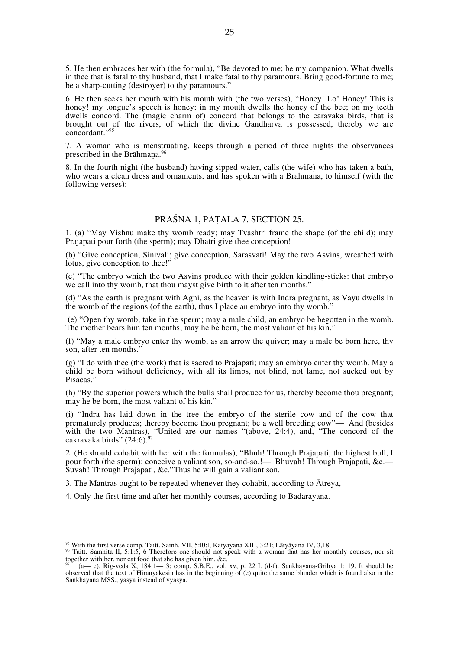5. He then embraces her with (the formula), "Be devoted to me; be my companion. What dwells in thee that is fatal to thy husband, that I make fatal to thy paramours. Bring good-fortune to me; be a sharp-cutting (destroyer) to thy paramours."

6. He then seeks her mouth with his mouth with (the two verses), "Honey! Lo! Honey! This is honey! my tongue's speech is honey; in my mouth dwells the honey of the bee; on my teeth dwells concord. The (magic charm of) concord that belongs to the caravaka birds, that is brought out of the rivers, of which the divine Gandharva is possessed, thereby we are concordant."95

7. A woman who is menstruating, keeps through a period of three nights the observances prescribed in the Brāhmana.<sup>96</sup>

8. In the fourth night (the husband) having sipped water, calls (the wife) who has taken a bath, who wears a clean dress and ornaments, and has spoken with a Brahmana, to himself (with the following verses):—

# PRAŚNA 1, PAṬALA 7. SECTION 25.

1. (a) "May Vishnu make thy womb ready; may Tvashtri frame the shape (of the child); may Prajapati pour forth (the sperm); may Dhatri give thee conception!

(b) "Give conception, Sinivali; give conception, Sarasvati! May the two Asvins, wreathed with lotus, give conception to thee!"

(c) "The embryo which the two Asvins produce with their golden kindling-sticks: that embryo we call into thy womb, that thou mayst give birth to it after ten months."

(d) "As the earth is pregnant with Agni, as the heaven is with Indra pregnant, as Vayu dwells in the womb of the regions (of the earth), thus I place an embryo into thy womb."

 (e) "Open thy womb; take in the sperm; may a male child, an embryo be begotten in the womb. The mother bears him ten months; may he be born, the most valiant of his kin."

(f) "May a male embryo enter thy womb, as an arrow the quiver; may a male be born here, thy son, after ten months."

(g) "I do with thee (the work) that is sacred to Prajapati; may an embryo enter thy womb. May a child be born without deficiency, with all its limbs, not blind, not lame, not sucked out by Pisacas."

(h) "By the superior powers which the bulls shall produce for us, thereby become thou pregnant; may he be born, the most valiant of his kin."

(i) "Indra has laid down in the tree the embryo of the sterile cow and of the cow that prematurely produces; thereby become thou pregnant; be a well breeding cow"— And (besides with the two Mantras), "United are our names "(above, 24:4), and, "The concord of the cakravaka birds" (24:6).

2. (He should cohabit with her with the formulas), "Bhuh! Through Prajapati, the highest bull, I pour forth (the sperm); conceive a valiant son, so-and-so.!— Bhuvah! Through Prajapati, &c.— Suvah! Through Prajapati, &c."Thus he will gain a valiant son.

3. The Mantras ought to be repeated whenever they cohabit, according to Ātreya,

4. Only the first time and after her monthly courses, according to Bādarāyana.

<sup>&</sup>lt;sup>95</sup> With the first verse comp. Taitt. Samh. VII, 5:10:1; Katyayana XIII, 3:21; Lātyāyana IV, 3,18.<br><sup>96</sup> Taitt. Samhita II, 5:1:5, 6 Therefore one should not speak with a woman that has her monthly courses, nor sit together with her, nor eat food that she has given him, &c.

<sup>97</sup> 1 (a— c). Rig-veda X, 184:1— 3; comp. S.B.E., vol. xv, p. 22 I. (d-f). Sankhayana-Grihya 1: 19. It should be observed that the text of Hiranyakesin has in the beginning of (e) quite the same blunder which is found also in the Sankhayana MSS., yasya instead of vyasya.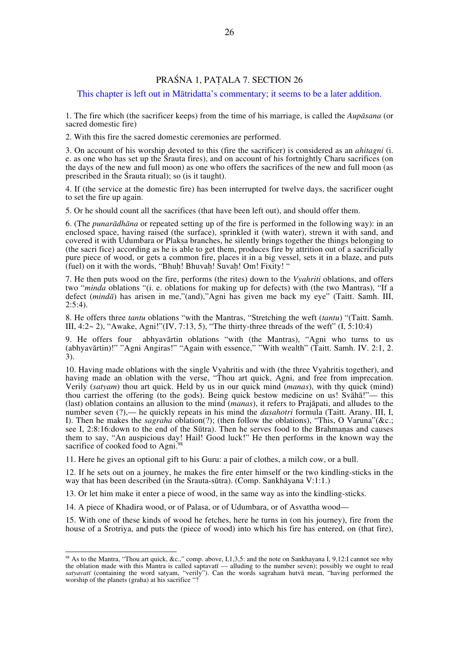# PRAŚNA 1, PAṬALA 7. SECTION 26

This chapter is left out in Mātridatta's commentary; it seems to be a later addition.

1. The fire which (the sacrificer keeps) from the time of his marriage, is called the *Aupāsana* (or sacred domestic fire)

2. With this fire the sacred domestic ceremonies are performed.

3. On account of his worship devoted to this (fire the sacrificer) is considered as an *ahitagni* (i. e. as one who has set up the Śrauta fires), and on account of his fortnightly Charu sacrifices (on the days of the new and full moon) as one who offers the sacrifices of the new and full moon (as prescribed in the Śrauta ritual); so (is it taught).

4. If (the service at the domestic fire) has been interrupted for twelve days, the sacrificer ought to set the fire up again.

5. Or he should count all the sacrifices (that have been left out), and should offer them.

6. (The *punarādhāna* or repeated setting up of the fire is performed in the following way): in an enclosed space, having raised (the surface), sprinkled it (with water), strewn it with sand, and covered it with Udumbara or Plaksa branches, he silently brings together the things belonging to (the sacri fice) according as he is able to get them, produces fire by attrition out of a sacrificially pure piece of wood, or gets a common fire, places it in a big vessel, sets it in a blaze, and puts (fuel) on it with the words, "Bhuh! Bhuvah! Suvah! Om! Fixity!"

7. He then puts wood on the fire, performs (the rites) down to the *Vyahriti* oblations, and offers two "*minda* oblations "(i. e. oblations for making up for defects) with (the two Mantras), "If a defect (*mindā*) has arisen in me,"(and),"Agni has given me back my eye" (Taitt. Samh. III,  $2:5:4$ ).

8. He offers three *tantu* oblations "with the Mantras, "Stretching the weft (*tantu*) "(Taitt. Samh. III,  $4:2 \sim 2$ ), "Awake, Agni!"(IV, 7:13, 5), "The thirty-three threads of the weft" (I,  $5:10:4$ )

9. He offers four abhyavārtin oblations "with (the Mantras), "Agni who turns to us (abhyavārtin)!" "Agni Angiras!" "Again with essence," "With wealth" (Taitt. Samh. IV. 2:1, 2. 3).

10. Having made oblations with the single Vyahritis and with (the three Vyahritis together), and having made an oblation with the verse, "Thou art quick, Agni, and free from imprecation. Verily (*satyam*) thou art quick. Held by us in our quick mind (*manas*), with thy quick (mind) thou carriest the offering (to the gods). Being quick bestow medicine on us! Svāhā!"— this (last) oblation contains an allusion to the mind (*manas*), it refers to Prajāpati, and alludes to the number seven (?),— he quickly repeats in his mind the *dasahotri* formula (Taitt. Arany. III, I, I). Then he makes the *sagraha* oblation(?); (then follow the oblations), "This, O Varuna"(&c.; see I, 2:8:16:down to the end of the Sūtra). Then he serves food to the Brahmaṇas and causes them to say, "An auspicious day! Hail! Good luck!" He then performs in the known way the sacrifice of cooked food to Agni.<sup>98</sup>

11. Here he gives an optional gift to his Guru: a pair of clothes, a milch cow, or a bull.

12. If he sets out on a journey, he makes the fire enter himself or the two kindling-sticks in the way that has been described (in the Srauta-sūtra). (Comp. Sankhāyana V:1:1.)

13. Or let him make it enter a piece of wood, in the same way as into the kindling-sticks.

14. A piece of Khadira wood, or of Palasa, or of Udumbara, or of Asvattha wood—

15. With one of these kinds of wood he fetches, here he turns in (on his journey), fire from the house of a Srotriya, and puts the (piece of wood) into which his fire has entered, on (that fire),

98 As to the Mantra, "Thou art quick, &c.," comp. above, I,1,3,5: and the note on Sankhayana I, 9,12:I cannot see why the oblation made with this Mantra is called saptavatī — alluding to the number seven); possibly we ought to read *satyavatī* (containing the word satyam, "verily"). Can the words sagraham hutvā mean, "having performed the worship of the planets (graha) at his sacrifice "?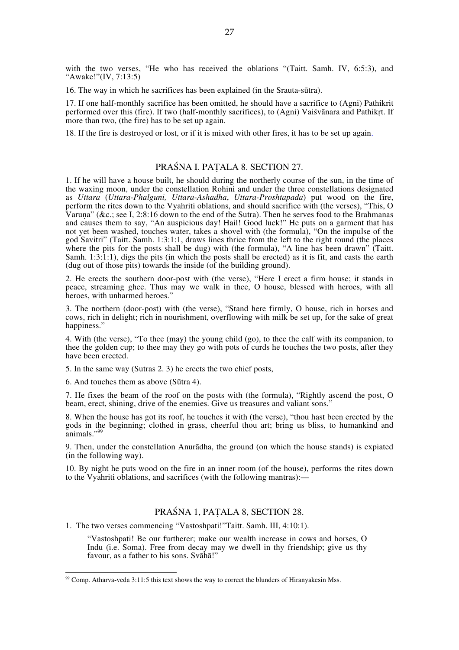with the two verses, "He who has received the oblations "(Taitt. Samh. IV, 6:5:3), and "Awake!"(IV, 7:13:5)

16. The way in which he sacrifices has been explained (in the Srauta-sūtra).

17. If one half-monthly sacrifice has been omitted, he should have a sacrifice to (Agni) Pathikrit performed over this (fire). If two (half-monthly sacrifices), to (Agni) Vaiśvānara and Pathikṛt. If more than two, (the fire) has to be set up again.

18. If the fire is destroyed or lost, or if it is mixed with other fires, it has to be set up again.

#### PRAŚNA I. PAṬALA 8. SECTION 27.

1. If he will have a house built, he should during the northerly course of the sun, in the time of the waxing moon, under the constellation Rohini and under the three constellations designated as *Uttara* (*Uttara-Phalguni, Uttara-Ashadha*, *Uttara-Proshtapada*) put wood on the fire, perform the rites down to the Vyahriti oblations, and should sacrifice with (the verses), "This, O Varuna" (&c.; see I, 2:8:16 down to the end of the Sutra). Then he serves food to the Brahmanas and causes them to say, "An auspicious day! Hail! Good luck!" He puts on a garment that has not yet been washed, touches water, takes a shovel with (the formula), "On the impulse of the god Savitri" (Taitt. Samh. 1:3:1:1, draws lines thrice from the left to the right round (the places where the pits for the posts shall be dug) with (the formula), "A line has been drawn" (Taitt. Samh. 1:3:1:1), digs the pits (in which the posts shall be erected) as it is fit, and casts the earth (dug out of those pits) towards the inside (of the building ground).

2. He erects the southern door-post with (the verse), "Here I erect a firm house; it stands in peace, streaming ghee. Thus may we walk in thee, O house, blessed with heroes, with all heroes, with unharmed heroes."

3. The northern (door-post) with (the verse), "Stand here firmly, O house, rich in horses and cows, rich in delight; rich in nourishment, overflowing with milk be set up, for the sake of great happiness."

4. With (the verse), "To thee (may) the young child (go), to thee the calf with its companion, to thee the golden cup; to thee may they go with pots of curds he touches the two posts, after they have been erected.

5. In the same way (Sutras 2. 3) he erects the two chief posts,

6. And touches them as above (Sūtra 4).

7. He fixes the beam of the roof on the posts with (the formula), "Rightly ascend the post, O beam, erect, shining, drive of the enemies. Give us treasures and valiant sons."

8. When the house has got its roof, he touches it with (the verse), "thou hast been erected by the gods in the beginning; clothed in grass, cheerful thou art; bring us bliss, to humankind and animals."99

9. Then, under the constellation Anurādha, the ground (on which the house stands) is expiated (in the following way).

10. By night he puts wood on the fire in an inner room (of the house), performs the rites down to the Vyahriti oblations, and sacrifices (with the following mantras):—

# PRAŚNA 1, PAṬALA 8, SECTION 28.

1. The two verses commencing "Vastoshpati!"Taitt. Samh. III, 4:10:1).

"Vastoshpati! Be our furtherer; make our wealth increase in cows and horses, O Indu (i.e. Soma). Free from decay may we dwell in thy friendship; give us thy favour, as a father to his sons. Svāhā!"

99 Comp. Atharva-veda 3:11:5 this text shows the way to correct the blunders of Hiranyakesin Mss.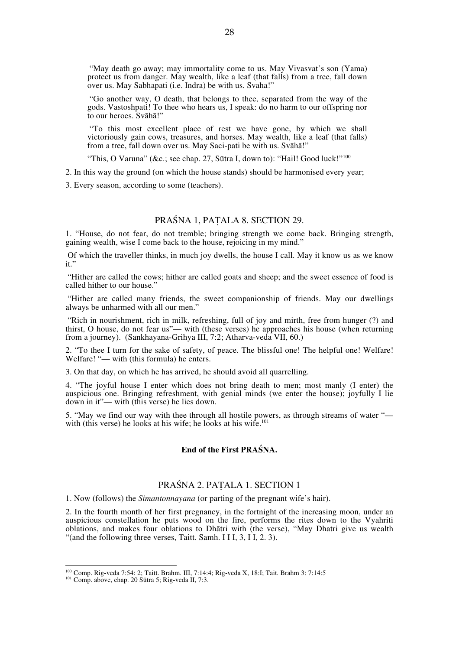"May death go away; may immortality come to us. May Vivasvat's son (Yama) protect us from danger. May wealth, like a leaf (that falls) from a tree, fall down over us. May Sabhapati (i.e. Indra) be with us. Svaha!"

 "Go another way, O death, that belongs to thee, separated from the way of the gods. Vastoshpati! To thee who hears us, I speak: do no harm to our offspring nor to our heroes. Svāhā!"

 "To this most excellent place of rest we have gone, by which we shall victoriously gain cows, treasures, and horses. May wealth, like a leaf (that falls) from a tree, fall down over us. May Saci-pati be with us. Svāhā!"

"This, O Varuna" (&c.; see chap. 27, Sūtra I, down to): "Hail! Good luck!"<sup>100</sup>

2. In this way the ground (on which the house stands) should be harmonised every year;

3. Every season, according to some (teachers).

# PRAŚNA 1, PAṬALA 8. SECTION 29.

1. "House, do not fear, do not tremble; bringing strength we come back. Bringing strength, gaining wealth, wise I come back to the house, rejoicing in my mind."

 Of which the traveller thinks, in much joy dwells, the house I call. May it know us as we know it."

 "Hither are called the cows; hither are called goats and sheep; and the sweet essence of food is called hither to our house."

 "Hither are called many friends, the sweet companionship of friends. May our dwellings always be unharmed with all our men."

 "Rich in nourishment, rich in milk, refreshing, full of joy and mirth, free from hunger (?) and thirst, O house, do not fear us"— with (these verses) he approaches his house (when returning from a journey). (Sankhayana-Grihya III, 7:2; Atharva-veda VII, 60.)

2. "To thee I turn for the sake of safety, of peace. The blissful one! The helpful one! Welfare! Welfare! "- with (this formula) he enters.

3. On that day, on which he has arrived, he should avoid all quarrelling.

4. "The joyful house I enter which does not bring death to men; most manly (I enter) the auspicious one. Bringing refreshment, with genial minds (we enter the house); joyfully I lie down in it"— with (this verse) he lies down.

5. "May we find our way with thee through all hostile powers, as through streams of water " with (this verse) he looks at his wife; he looks at his wife.<sup>101</sup>

#### **End of the First PRAŚNA.**

### PRAŚNA 2. PAṬALA 1. SECTION 1

1. Now (follows) the *Simantonnayana* (or parting of the pregnant wife's hair).

2. In the fourth month of her first pregnancy, in the fortnight of the increasing moon, under an auspicious constellation he puts wood on the fire, performs the rites down to the Vyahriti oblations, and makes four oblations to Dhātri with (the verse), "May Dhatri give us wealth "(and the following three verses, Taitt. Samh. I I I, 3, I I, 2. 3).

100 Comp. Rig-veda 7:54: 2; Taitt. Brahm. III, 7:14:4; Rig-veda X, 18:I; Tait. Brahm 3: 7:14:5 101 Comp. above, chap. 20 Sūtra 5; Rig-veda II, 7:3.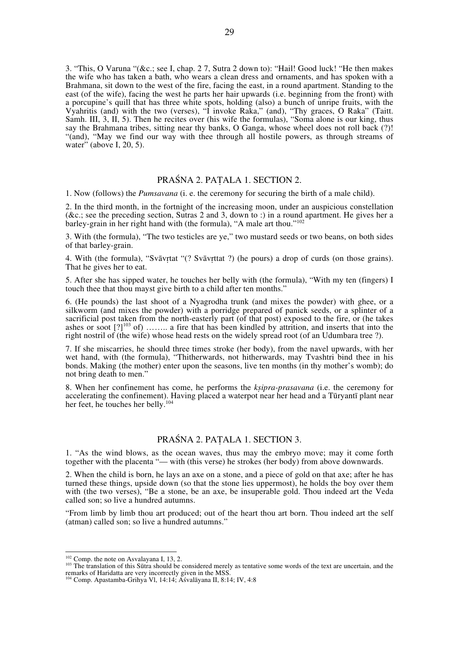3. "This, O Varuna "(&c.; see I, chap. 2 7, Sutra 2 down to): "Hail! Good luck! "He then makes the wife who has taken a bath, who wears a clean dress and ornaments, and has spoken with a Brahmana, sit down to the west of the fire, facing the east, in a round apartment. Standing to the east (of the wife), facing the west he parts her hair upwards (i.e. beginning from the front) with a porcupine's quill that has three white spots, holding (also) a bunch of unripe fruits, with the Vyahritis (and) with the two (verses), "I invoke Raka," (and), "Thy graces, O Raka" (Taitt. Samh. III, 3, II, 5). Then he recites over (his wife the formulas), "Soma alone is our king, thus say the Brahmana tribes, sitting near thy banks, O Ganga, whose wheel does not roll back (?)! "(and), "May we find our way with thee through all hostile powers, as through streams of water" (above I, 20, 5).

# PRAŚNA 2. PAṬALA 1. SECTION 2.

1. Now (follows) the *Pumsavana* (i. e. the ceremony for securing the birth of a male child).

2. In the third month, in the fortnight of the increasing moon, under an auspicious constellation (&c.; see the preceding section, Sutras 2 and 3, down to :) in a round apartment. He gives her a barley-grain in her right hand with (the formula), "A male art thou."<sup>102</sup>

3. With (the formula), "The two testicles are ye," two mustard seeds or two beans, on both sides of that barley-grain.

4. With (the formula), "Svāvṛtat "(? Svāvṛttat ?) (he pours) a drop of curds (on those grains). That he gives her to eat.

5. After she has sipped water, he touches her belly with (the formula), "With my ten (fingers) I touch thee that thou mayst give birth to a child after ten months."

6. (He pounds) the last shoot of a Nyagrodha trunk (and mixes the powder) with ghee, or a silkworm (and mixes the powder) with a porridge prepared of panick seeds, or a splinter of a sacrificial post taken from the north-easterly part (of that post) exposed to the fire, or (he takes ashes or soot  $[?]^{103}$  of) …….. a fire that has been kindled by attrition, and inserts that into the right nostril of (the wife) whose head rests on the widely spread root (of an Udumbara tree ?).

7. If she miscarries, he should three times stroke (her body), from the navel upwards, with her wet hand, with (the formula), "Thitherwards, not hitherwards, may Tvashtri bind thee in his bonds. Making (the mother) enter upon the seasons, live ten months (in thy mother's womb); do not bring death to men."

8. When her confinement has come, he performs the *kṣipra-prasavana* (i.e. the ceremony for accelerating the confinement). Having placed a waterpot near her head and a Tūryantī plant near her feet, he touches her belly.<sup>104</sup>

# PRAŚNA 2. PAṬALA 1. SECTION 3.

1. "As the wind blows, as the ocean waves, thus may the embryo move; may it come forth together with the placenta "— with (this verse) he strokes (her body) from above downwards.

2. When the child is born, he lays an axe on a stone, and a piece of gold on that axe; after he has turned these things, upside down (so that the stone lies uppermost), he holds the boy over them with (the two verses), "Be a stone, be an axe, be insuperable gold. Thou indeed art the Veda called son; so live a hundred autumns.

"From limb by limb thou art produced; out of the heart thou art born. Thou indeed art the self (atman) called son; so live a hundred autumns."

 $102$  Comp. the note on Asvalayana I, 13, 2.<br> $103$  The translation of this Sūtra should be considered merely as tentative some words of the text are uncertain, and the remarks of Haridatta are very incorrectly given in the MSS.

<sup>104</sup> Comp. Apastamba-Grihya Vl, 14:14; Aśvalāyana II, 8:14; IV, 4:8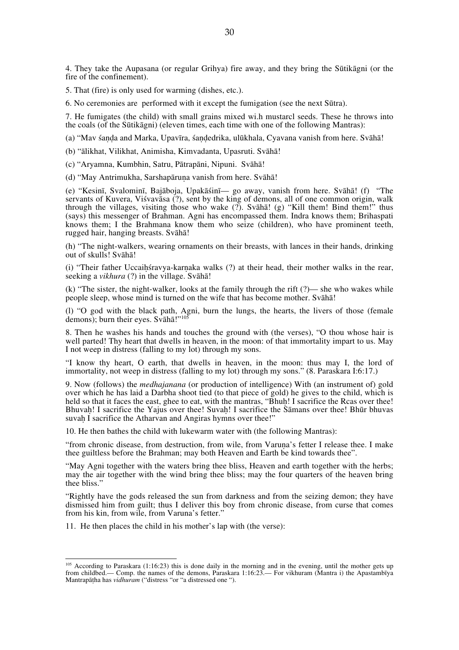4. They take the Aupasana (or regular Grihya) fire away, and they bring the Sūtikāgni (or the fire of the confinement).

5. That (fire) is only used for warming (dishes, etc.).

6. No ceremonies are performed with it except the fumigation (see the next Sūtra).

7. He fumigates (the child) with small grains mixed wi.h mustarcl seeds. These he throws into the coals (of the Sūtikāgni) (eleven times, each time with one of the following Mantras):

(a) "Mav śaṇḍa and Marka, Upavīra, śaṇḍedrika, ulūkhala, Cyavana vanish from here. Svāhā!

(b) "ālikhat, Vilikhat, Animisha, Kimvadanta, Upasruti. Svāhā!

(c) "Aryamna, Kumbhin, Satru, Pātrapāni, Nipuni. Svāhā!

(d) "May Antrimukha, Sarshapāruṇa vanish from here. Svāhā!

(e) "Kesinī, Svalominī, Bajāboja, Upakāśinī— go away, vanish from here. Svāhā! (f) "The servants of Kuvera, Viśvavāsa (?), sent by the king of demons, all of one common origin, walk through the villages, visiting those who wake  $\binom{5}{2}$ . Svāhā! (g) "Kill them! Bind them!" thus (says) this messenger of Brahman. Agni has encompassed them. Indra knows them; Brihaspati knows them; I the Brahmana know them who seize (children), who have prominent teeth, rugged hair, hanging breasts. Svāhā!

(h) "The night-walkers, wearing ornaments on their breasts, with lances in their hands, drinking out of skulls! Svāhā!

(i) "Their father Uccaihśravya-karnaka walks (?) at their head, their mother walks in the rear, seeking a *vikhura* (?) in the village. Svāhā!

(k) "The sister, the night-walker, looks at the family through the rift (?)— she who wakes while people sleep, whose mind is turned on the wife that has become mother. Svāhā!

(l) "O god with the black path, Agni, burn the lungs, the hearts, the livers of those (female demons); burn their eyes. Svāhā!"<sup>105</sup>

8. Then he washes his hands and touches the ground with (the verses), "O thou whose hair is well parted! Thy heart that dwells in heaven, in the moon: of that immortality impart to us. May I not weep in distress (falling to my lot) through my sons.

"I know thy heart, O earth, that dwells in heaven, in the moon: thus may I, the lord of immortality, not weep in distress (falling to my lot) through my sons." (8. Paraskara I:6:17.)

9. Now (follows) the *medhajanana* (or production of intelligence) With (an instrument of) gold over which he has laid a Darbha shoot tied (to that piece of gold) he gives to the child, which is held so that it faces the east, ghee to eat, with the mantras, "Bhuh! I sacrifice the Rcas over thee! Bhuvah! I sacrifice the Yajus over thee! Suvah! I sacrifice the Samans over thee! Bhūr bhuvas suvah I sacrifice the Atharvan and Angiras hymns over thee!"

10. He then bathes the child with lukewarm water with (the following Mantras):

"from chronic disease, from destruction, from wile, from Varuna's fetter I release thee. I make thee guiltless before the Brahman; may both Heaven and Earth be kind towards thee".

"May Agni together with the waters bring thee bliss, Heaven and earth together with the herbs; may the air together with the wind bring thee bliss; may the four quarters of the heaven bring thee bliss."

"Rightly have the gods released the sun from darkness and from the seizing demon; they have dismissed him from guilt; thus I deliver this boy from chronic disease, from curse that comes from his kin, from wile, from Varuna's fetter."

11. He then places the child in his mother's lap with (the verse):

<sup>&</sup>lt;sup>105</sup> According to Paraskara (1:16:23) this is done daily in the morning and in the evening, until the mother gets up from childbed.— Comp. the names of the demons, Paraskara 1:16:23.— For vikhuram (Mantra i) the Apastambīya Mantrapāṭha has *vidhuram* ("distress "or "a distressed one ").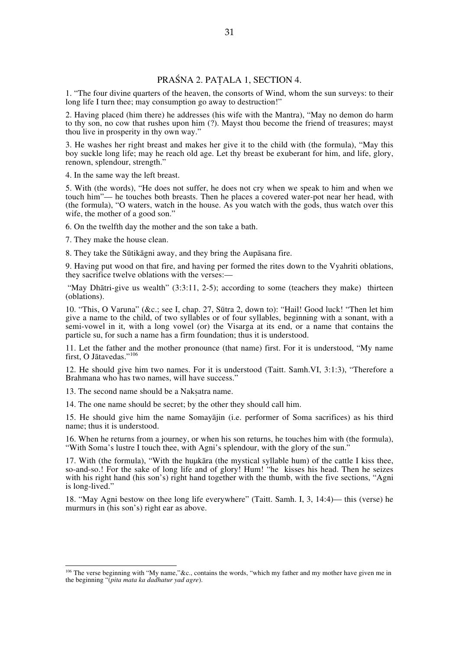# PRAŚNA 2. PAṬALA 1, SECTION 4.

1. "The four divine quarters of the heaven, the consorts of Wind, whom the sun surveys: to their long life I turn thee; may consumption go away to destruction!"

2. Having placed (him there) he addresses (his wife with the Mantra), "May no demon do harm to thy son, no cow that rushes upon him (?). Mayst thou become the friend of treasures; mayst thou live in prosperity in thy own way."

3. He washes her right breast and makes her give it to the child with (the formula), "May this boy suckle long life; may he reach old age. Let thy breast be exuberant for him, and life, glory, renown, splendour, strength."

4. In the same way the left breast.

5. With (the words), "He does not suffer, he does not cry when we speak to him and when we touch him"— he touches both breasts. Then he places a covered water-pot near her head, with (the formula), "O waters, watch in the house. As you watch with the gods, thus watch over this wife, the mother of a good son."

6. On the twelfth day the mother and the son take a bath.

7. They make the house clean.

8. They take the Sūtikāgni away, and they bring the Aupāsana fire.

9. Having put wood on that fire, and having per formed the rites down to the Vyahriti oblations, they sacrifice twelve oblations with the verses:—

"May Dhātri-give us wealth" (3:3:11, 2-5); according to some (teachers they make) thirteen (oblations).

10. "This, O Varuna" (&c.; see I, chap. 27, Sūtra 2, down to): "Hail! Good luck! "Then let him give a name to the child, of two syllables or of four syllables, beginning with a sonant, with a semi-vowel in it, with a long vowel (or) the Visarga at its end, or a name that contains the particle su, for such a name has a firm foundation; thus it is understood.

11. Let the father and the mother pronounce (that name) first. For it is understood, "My name first, O Jātavedas."<sup>106</sup>

12. He should give him two names. For it is understood (Taitt. Samh.VI, 3:1:3), "Therefore a Brahmana who has two names, will have success."

13. The second name should be a Nakṣatra name.

14. The one name should be secret; by the other they should call him.

15. He should give him the name Somayājin (i.e. performer of Soma sacrifices) as his third name; thus it is understood.

16. When he returns from a journey, or when his son returns, he touches him with (the formula), "With Soma's lustre I touch thee, with Agni's splendour, with the glory of the sun."

17. With (the formula), "With the huµkāra (the mystical syllable hum) of the cattle I kiss thee, so-and-so.! For the sake of long life and of glory! Hum! "he kisses his head. Then he seizes with his right hand (his son's) right hand together with the thumb, with the five sections, "Agni is long-lived."

18. "May Agni bestow on thee long life everywhere" (Taitt. Samh. I, 3, 14:4)— this (verse) he murmurs in (his son's) right ear as above.

<sup>106</sup> The verse beginning with "My name,"&c., contains the words, "which my father and my mother have given me in the beginning "(*pita mata ka dadhatur yad agre*).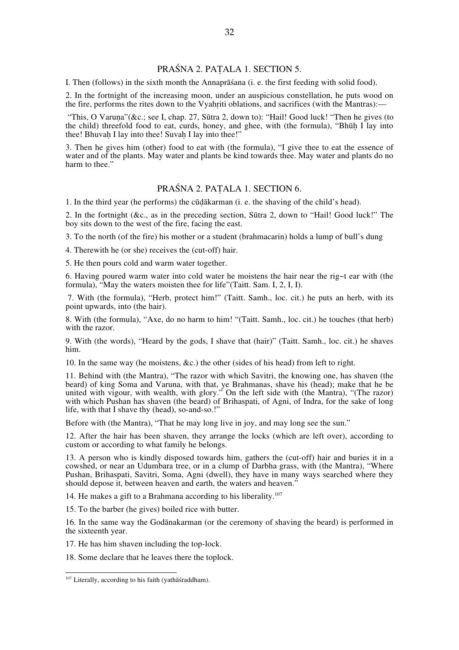# PRAŚNA 2. PAṬALA 1. SECTION 5.

I. Then (follows) in the sixth month the Annaprāśana (i. e. the first feeding with solid food).

2. In the fortnight of the increasing moon, under an auspicious constellation, he puts wood on the fire, performs the rites down to the Vyahṛiti oblations, and sacrifices (with the Mantras):—

"This, O Varuna"(&c.; see I, chap. 27, Sūtra 2, down to): "Hail! Good luck! "Then he gives (to the child) threefold food to eat, curds, honey, and ghee, with (the formula), "Bhūḥ I lay into thee! Bhuvah I lay into thee! Suvah I lay into thee!"

3. Then he gives him (other) food to eat with (the formula), "I give thee to eat the essence of water and of the plants. May water and plants be kind towards thee. May water and plants do no harm to thee."

### PRAŚNA 2. PAṬALA 1. SECTION 6.

1. In the third year (he performs) the cūḍākarman (i. e. the shaving of the child's head).

2. In the fortnight (&c., as in the preceding section, Sūtra 2, down to "Hail! Good luck!" The boy sits down to the west of the fire, facing the east.

3. To the north (of the fire) his mother or a student (brahmacarin) holds a lump of bull's dung

4. Therewith he (or she) receives the (cut-off) hair.

5. He then pours cold and warm water together.

6. Having poured warm water into cold water he moistens the hair near the rig~t ear with (the formula), "May the waters moisten thee for life"(Taitt. Sam. I, 2, I, I).

 7. With (the formula), "Herb, protect him!" (Taitt. Samh., loc. cit.) he puts an herb, with its point upwards, into (the hair).

8. With (the formula), "Axe, do no harm to him! "(Taitt. Samh., loc. cit.) he touches (that herb) with the razor.

9. With (the words), "Heard by the gods, I shave that (hair)" (Taitt. Samh., loc. cit.) he shaves him.

10. In the same way (he moistens, &c.) the other (sides of his head) from left to right.

11. Behind with (the Mantra), "The razor with which Savitri, the knowing one, has shaven (the beard) of king Soma and Varuna, with that, ye Brahmanas, shave his (head); make that he be united with vigour, with wealth, with glory." On the left side with (the Mantra), "(The razor) with which Pushan has shaven (the beard) of Brihaspati, of Agni, of Indra, for the sake of long life, with that I shave thy (head), so-and-so.!"

Before with (the Mantra), "That he may long live in joy, and may long see the sun."

12. After the hair has been shaven, they arrange the locks (which are left over), according to custom or according to what family he belongs.

13. A person who is kindly disposed towards him, gathers the (cut-off) hair and buries it in a cowshed, or near an Udumbara tree, or in a clump of Darbha grass, with (the Mantra), "Where Pushan, Brihaspati, Savitri, Soma, Agni (dwell), they have in many ways searched where they should depose it, between heaven and earth, the waters and heaven."

14. He makes a gift to a Brahmana according to his liberality.<sup>107</sup>

15. To the barber (he gives) boiled rice with butter.

16. In the same way the Godānakarman (or the ceremony of shaving the beard) is performed in the sixteenth year.

17. He has him shaven including the top-lock.

18. Some declare that he leaves there the toplock.

<sup>107</sup> Literally, according to his faith (yathāśraddham).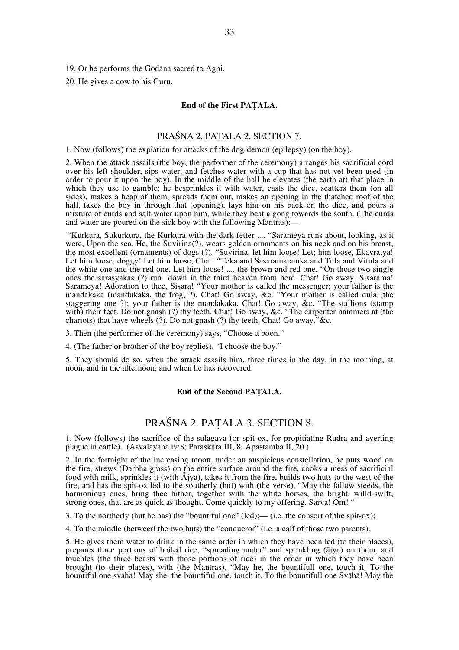19. Or he performs the Godāna sacred to Agni.

20. He gives a cow to his Guru.

#### **End of the First PAṬALA.**

### PRAŚNA 2. PAṬALA 2. SECTION 7.

1. Now (follows) the expiation for attacks of the dog-demon (epilepsy) (on the boy).

2. When the attack assails (the boy, the performer of the ceremony) arranges his sacrificial cord over his left shoulder, sips water, and fetches water with a cup that has not yet been used (in order to pour it upon the boy). In the middle of the hall he elevates (the earth at) that place in which they use to gamble; he besprinkles it with water, casts the dice, scatters them (on all sides), makes a heap of them, spreads them out, makes an opening in the thatched roof of the hall, takes the boy in through that (opening), lays him on his back on the dice, and pours a mixture of curds and salt-water upon him, while they beat a gong towards the south. (The curds and water are poured on the sick boy with the following Mantras):—

 "Kurkura, Sukurkura, the Kurkura with the dark fetter .... "Sarameya runs about, looking, as it were, Upon the sea. He, the Suvirina(?), wears golden ornaments on his neck and on his breast, the most excellent (ornaments) of dogs (?). "Suvirina, let him loose! Let; him loose, Ekavratya! Let him loose, doggy! Let him loose, Chat! "Teka and Sasaramatamka and Tula and Vitula and the white one and the red one. Let him loose! .... the brown and red one. "On those two single ones the sarasyakas (?) run down in the third heaven from here. Chat! Go away. Sisarama! Sarameya! Adoration to thee, Sisara! "Your mother is called the messenger; your father is the mandakaka (mandukaka, the frog, ?). Chat! Go away, &c. "Your mother is called dula (the staggering one ?); your father is the mandakaka. Chat! Go away, &c. "The stallions (stamp with) their feet. Do not gnash (?) thy teeth. Chat! Go away, &c. "The carpenter hammers at (the chariots) that have wheels (?). Do not gnash (?) thy teeth. Chat! Go away,"&c.

3. Then (the performer of the ceremony) says, "Choose a boon."

4. (The father or brother of the boy replies), "I choose the boy."

5. They should do so, when the attack assails him, three times in the day, in the morning, at noon, and in the afternoon, and when he has recovered.

#### **End of the Second PAṬALA.**

# PRAŚNA 2. PAṬALA 3. SECTION 8.

1. Now (follows) the sacrifice of the sūlagava (or spit-ox, for propitiating Rudra and averting plague in cattle). (Asvalayana iv:8; Paraskara III, 8; Apastamba II, 20.)

2. In the fortnight of the increasing moon, undcr an auspicicus constellation, hc puts wood on the fire, strews (Darbha grass) on the entire surface around the fire, cooks a mess of sacrificial food with milk, sprinkles it (with Åjya), takes it from the fire, builds two huts to the west of the fire, and has the spit-ox led to the southerly (hut) with (the verse), "May the fallow steeds, the harmonious ones, bring thee hither, together with the white horses, the bright, willd-swift, strong ones, that are as quick as thought. Come quickly to my offering, Sarva! Om! "

3. To the northerly (hut he has) the "bountiful one" (led);— (i.e. the consort of the spit-ox);

4. To the middle (betweerl the two huts) the "conqueror" (i.e. a calf of those two parents).

5. He gives them water to drink in the same order in which they have been led (to their places), prepares three portions of boiled rice, "spreading under" and sprinkling (ājya) on them, and touchles (the three beasts with those portions of rice) in the order in which they have been brought (to their places), with (the Mantras), "May he, the bountifull one, touch it. To the bountiful one svaha! May she, the bountiful one, touch it. To the bountifull one Svāhā! May the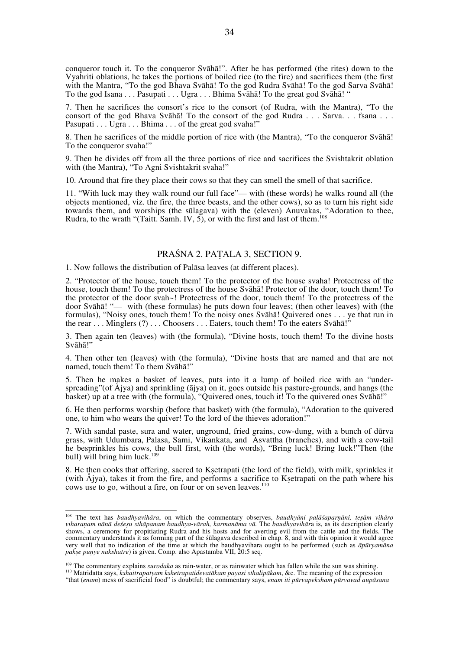conqueror touch it. To the conqueror Svāhā!". After he has performed (the rites) down to the Vyahriti oblations, he takes the portions of boiled rice (to the fire) and sacrifices them (the first with the Mantra, "To the god Bhava Svāhā! To the god Rudra Svāhā! To the god Sarva Svāhā! To the god Isana . . . Pasupati . . . Ugra . . . Bhima Svāhā! To the great god Svāhā! "

7. Then he sacrifices the consort's rice to the consort (of Rudra, with the Mantra), "To the consort of the god Bhava Svāhā! To the consort of the god Rudra . . . Sarva. . . fsana . . . Pasupati . . . Ugra . . . Bhima . . . of the great god svaha!"

8. Then he sacrifices of the middle portion of rice with (the Mantra), "To the conqueror Svāhā! To the conqueror svaha!"

9. Then he divides off from all the three portions of rice and sacrifices the Svishtakrit oblation with (the Mantra), "To Agni Svishtakrit svaha!"

10. Around that fire they place their cows so that they can smell the smell of that sacrifice.

11. "With luck may they walk round our full face"— with (these words) he walks round all (the objects mentioned, viz. the fire, the three beasts, and the other cows), so as to turn his right side towards them, and worships (the sūlagava) with the (eleven) Anuvakas, "Adoration to thee, Rudra, to the wrath "(Taitt. Samh. IV, 5), or with the first and last of them.<sup>108</sup>

# PRAŚNA 2. PAṬALA 3, SECTION 9.

1. Now follows the distribution of Palāsa leaves (at different places).

2. "Protector of the house, touch them! To the protector of the house svaha! Protectress of the house, touch them! To the protectress of the house Svāhā! Protector of the door, touch them! To the protector of the door svah~! Protectress of the door, touch them! To the protectress of the door Svāhā! "— with (these formulas) he puts down four leaves; (then other leaves) with (the formulas), "Noisy ones, touch them! To the noisy ones Svāhā! Quivered ones . . . ye that run in the rear . . . Minglers (?) . . . Choosers . . . Eaters, touch them! To the eaters Svāhā!"

3. Then again ten (leaves) with (the formula), "Divine hosts, touch them! To the divine hosts Svāhā!"

4. Then other ten (leaves) with (the formula), "Divine hosts that are named and that are not named, touch them! To them Svāhā!"

5. Then he makes a basket of leaves, puts into it a lump of boiled rice with an "underspreading" (of Ajya) and sprinkling (ajya) on it, goes outside his pasture-grounds, and hangs (the basket) up at a tree with (the formula), "Quivered ones, touch it! To the quivered ones Svāhā!"

6. He then performs worship (before that basket) with (the formula), "Adoration to the quivered one, to him who wears the quiver! To the lord of the thieves adoration!"

7. With sandal paste, sura and water, unground, fried grains, cow-dung, with a bunch of dūrva grass, with Udumbara, Palasa, Sami, Vikankata, and Asvattha (branches), and with a cow-tail he besprinkles his cows, the bull first, with (the words), "Bring luck! Bring luck!"Then (the bull) will bring him luck.<sup>109</sup>

8. He then cooks that offering, sacred to Ksetrapati (the lord of the field), with milk, sprinkles it (with Åjya), takes it from the fire, and performs a sacrifice to Kṣetrapati on the path where his cows use to go, without a fire, on four or on seven leaves.<sup>110</sup>

<sup>108</sup> The text has *baudhyavihāra*, on which the commentary observes, *baudhyāni palāśaparṇāni, teṣām vihāro*  viharanam nānā desesu sthāpanam baudhya-vārah, karmanāma vā. The baudhyavihāra is, as its description clearly shows, a ceremony for propitiating Rudra and his hosts and for averting evil from the cattle and the fields. The commentary understands it as forming part of the śūlagava described in chap. 8, and with this opinion it would agree very well that no indication of the time at which the baudhyavihara ought to be performed (such as *āpūryamāna* pakse punye nakshatre) is given. Comp. also Apastamba VII, 20:5 seq.

<sup>&</sup>lt;sup>109</sup> The commentary explains *surodaka* as rain-water, or as rainwater which has fallen while the sun was shining.<br><sup>110</sup> Matridatta says, *kshaitrapatyam kshetrapatidevatākam payasi sthalipākam*, &c. The meaning of the ex

<sup>&</sup>quot;that (*enam*) mess of sacrificial food" is doubtful; the commentary says, *enam iti pūrvapeksham pūrvavad aupāsana*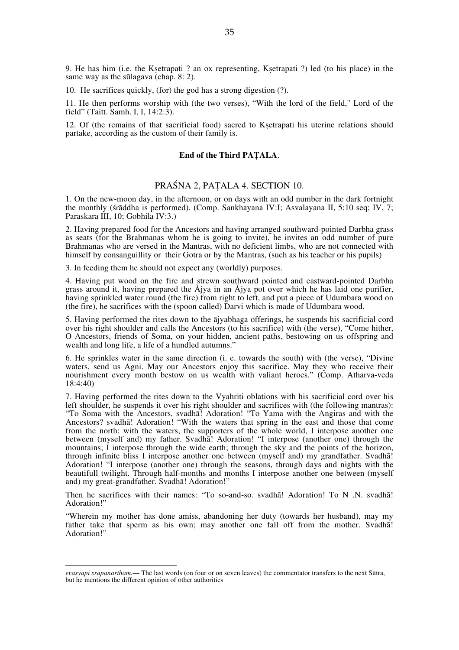9. He has him (i.e. the Kṣetrapati ? an ox representing, Kṣetrapati ?) led (to his place) in the same way as the sūlagava (chap. 8: 2).

10. He sacrifices quickly, (for) the god has a strong digestion (?).

11. He then performs worship with (the two verses), "With the lord of the field," Lord of the field" (Taitt. Samh. I, I, 14:2:3).

12. Of (the remains of that sacrificial food) sacred to Ksetrapati his uterine relations should partake, according as the custom of their family is.

#### **End of the Third PAṬALA**.

### PRAŚNA 2, PAṬALA 4. SECTION 10.

1. On the new-moon day, in the afternoon, or on days with an odd number in the dark fortnight the monthly (śrāddha is performed). (Comp. Sankhayana IV:I; Asvalayana II, 5:10 seq; IV, 7; Paraskara III, 10; Gobhila IV:3.)

2. Having prepared food for the Ancestors and having arranged southward-pointed Darbha grass as seats (for the Brahmanas whom he is going to invite), he invites an odd number of pure Brahmanas who are versed in the Mantras, with no deficient limbs, who are not connected with himself by consanguillity or their Gotra or by the Mantras, (such as his teacher or his pupils)

3. In feeding them he should not expect any (worldly) purposes.

4. Having put wood on the fire and strewn southward pointed and eastward-pointed Darbha grass around it, having prepared the Åjya in an Åjya pot over which he has laid one purifier, having sprinkled water round (the fire) from right to left, and put a piece of Udumbara wood on (the fire), he sacrifices with the (spoon called) Darvi which is made of Udumbara wood.

5. Having performed the rites down to the ājyabhaga offerings, he suspends his sacrificial cord over his right shoulder and calls the Ancestors (to his sacrifice) with (the verse), "Come hither, O Ancestors, friends of Soma, on your hidden, ancient paths, bestowing on us offspring and wealth and long life, a life of a hundled autumns."

6. He sprinkles water in the same direction (i. e. towards the south) with (the verse), "Divine waters, send us Agni. May our Ancestors enjoy this sacrifice. May they who receive their nourishment every month bestow on us wealth with valiant heroes." (Comp. Atharva-veda 18:4:40)

7. Having performed the rites down to the Vyahriti oblations with his sacrificial cord over his left shoulder, he suspends it over his right shoulder and sacrifices with (the following mantras): "To Soma with the Ancestors, svadhā! Adoration! "To Yama with the Angiras and with the Ancestors? svadhā! Adoration! "With the waters that spring in the east and those that come from the north: with the waters, the supporters of the whole world, I interpose another one between (myself and) my father. Svadha! Adoration! "I interpose (another one) through the mountains; I interpose through the wide earth; through the sky and the points of the horizon, through infinite bliss I interpose another one between (myself and) my grandfather. Svadhā! Adoration! "I interpose (another one) through the seasons, through days and nights with the beautifull twilight. Through half-months and months I interpose another one between (myself and) my great-grandfather. Svadhā! Adoration!"

Then he sacrifices with their names: "To so-and-so. svadhā! Adoration! To N .N. svadhā! Adoration!"

"Wherein my mother has done amiss, abandoning her duty (towards her husband), may my father take that sperm as his own; may another one fall off from the mother. Svadhā! Adoration!"

 $\overline{a}$ 

*evasyapi srapanartham.*— The last words (on four or on seven leaves) the commentator transfers to the next Sūtra, but he mentions the different opinion of other authorities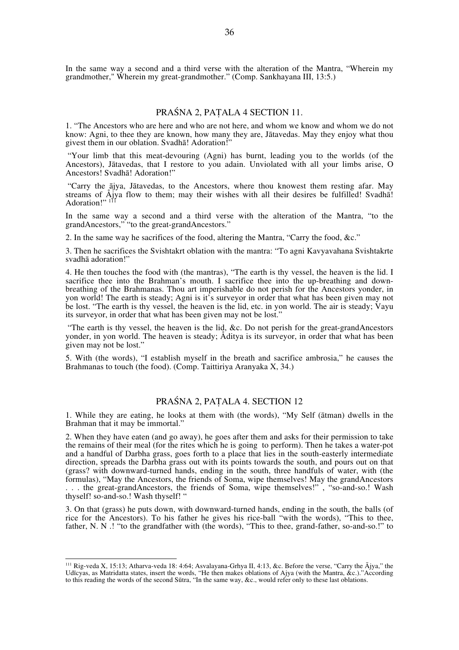In the same way a second and a third verse with the alteration of the Mantra, "Wherein my grandmother," Wherein my great-grandmother." (Comp. Sankhayana III, 13:5.)

### PRAŚNA 2, PAṬALA 4 SECTION 11.

1. "The Ancestors who are here and who are not here, and whom we know and whom we do not know: Agni, to thee they are known, how many they are, Jātavedas. May they enjoy what thou givest them in our oblation. Svadhā! Adoration!"

"Your limb that this meat-devouring (Agni) has burnt, leading you to the worlds (of the Ancestors), Jātavedas, that I restore to you adain. Unviolated with all your limbs arise, O Ancestors! Svadhā! Adoration!"

 "Carry the ājya, Jātavedas, to the Ancestors, where thou knowest them resting afar. May streams of Åjya flow to them; may their wishes with all their desires be fulfilled! Svadhā! Adoration!"<sup>111</sup>

In the same way a second and a third verse with the alteration of the Mantra, "to the grandAncestors," "to the great-grandAncestors."

2. In the same way he sacrifices of the food, altering the Mantra, "Carry the food, &c."

3. Then he sacrifices the Svishtakrt oblation with the mantra: "To agni Kavyavahana Svishtakrte svadhā adoration!"

4. He then touches the food with (the mantras), "The earth is thy vessel, the heaven is the lid. I sacrifice thee into the Brahman's mouth. I sacrifice thee into the up-breathing and downbreathing of the Brahmanas. Thou art imperishable do not perish for the Ancestors yonder, in yon world! The earth is steady; Agni is it's surveyor in order that what has been given may not be lost. "The earth is thy vessel, the heaven is the lid, etc. in yon world. The air is steady; Vayu its surveyor, in order that what has been given may not be lost."

 "The earth is thy vessel, the heaven is the lid, &c. Do not perish for the great-grandAncestors yonder, in yon world. The heaven is steady; Åditya is its surveyor, in order that what has been given may not be lost."

5. With (the words), "I establish myself in the breath and sacrifice ambrosia," he causes the Brahmanas to touch (the food). (Comp. Taittiriya Aranyaka X, 34.)

### PRAŚNA 2, PAṬALA 4. SECTION 12

1. While they are eating, he looks at them with (the words), "My Self (ātman) dwells in the Brahman that it may be immortal."

2. When they have eaten (and go away), he goes after them and asks for their permission to take the remains of their meal (for the rites which he is going to perform). Then he takes a water-pot and a handful of Darbha grass, goes forth to a place that lies in the south-easterly intermediate direction, spreads the Darbha grass out with its points towards the south, and pours out on that (grass? with downward-turned hands, ending in the south, three handfuls of water, with (the formulas), "May the Ancestors, the friends of Soma, wipe themselves! May the grandAncestors . . . the great-grandAncestors, the friends of Soma, wipe themselves!" , "so-and-so.! Wash thyself! so-and-so.! Wash thyself! "

3. On that (grass) he puts down, with downward-turned hands, ending in the south, the balls (of rice for the Ancestors). To his father he gives his rice-ball "with the words), "This to thee, father, N. N .! "to the grandfather with (the words), "This to thee, grand-father, so-and-so.!" to

<sup>111</sup> Rig-veda X, 15:13; Atharva-veda 18: 4:64; Asvalayana-Grhya II, 4:13, &c. Before the verse, "Carry the Ājya," the Udīcyas, as Matridatta states, insert the words, "He then makes oblations of Ajya (with the Mantra, &c.)."According to this reading the words of the second Sūtra, "In the same way, &c., would refer only to these last oblations.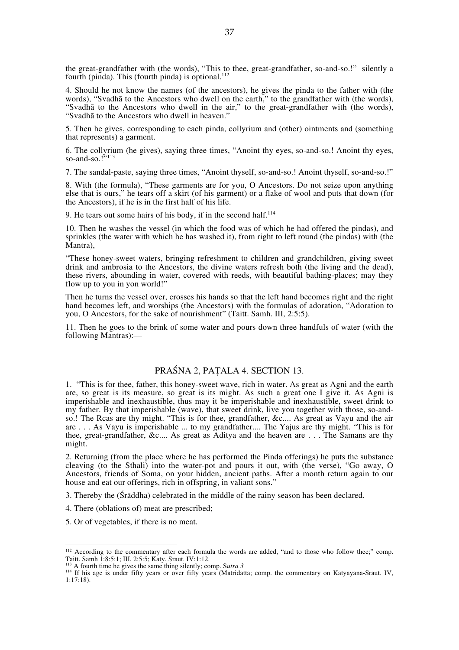the great-grandfather with (the words), "This to thee, great-grandfather, so-and-so.!" silently a fourth (pinda). This (fourth pinda) is optional. $^{112}$ 

4. Should he not know the names (of the ancestors), he gives the pinda to the father with (the words), "Svadhā to the Ancestors who dwell on the earth," to the grandfather with (the words), "Svadhā to the Ancestors who dwell in the air," to the great-grandfather with (the words), "Svadhā to the Ancestors who dwell in heaven."

5. Then he gives, corresponding to each pinda, collyrium and (other) ointments and (something that represents) a garment.

6. The collyrium (he gives), saying three times, "Anoint thy eyes, so-and-so.! Anoint thy eyes, so-and-so.! $^{5.113}$ 

7. The sandal-paste, saying three times, "Anoint thyself, so-and-so.! Anoint thyself, so-and-so.!"

8. With (the formula), "These garments are for you, O Ancestors. Do not seize upon anything else that is ours," he tears off a skirt (of his garment) or a flake of wool and puts that down (for the Ancestors), if he is in the first half of his life.

9. He tears out some hairs of his body, if in the second half. $114$ 

10. Then he washes the vessel (in which the food was of which he had offered the pindas), and sprinkles (the water with which he has washed it), from right to left round (the pindas) with (the Mantra),

"These honey-sweet waters, bringing refreshment to children and grandchildren, giving sweet drink and ambrosia to the Ancestors, the divine waters refresh both (the living and the dead), these rivers, abounding in water, covered with reeds, with beautiful bathing-places; may they flow up to you in yon world!"

Then he turns the vessel over, crosses his hands so that the left hand becomes right and the right hand becomes left, and worships (the Ancestors) with the formulas of adoration, "Adoration to you, O Ancestors, for the sake of nourishment" (Taitt. Samh. III, 2:5:5).

11. Then he goes to the brink of some water and pours down three handfuls of water (with the following Mantras):—

# PRAŚNA 2, PAṬALA 4. SECTION 13.

1. "This is for thee, father, this honey-sweet wave, rich in water. As great as Agni and the earth are, so great is its measure, so great is its might. As such a great one I give it. As Agni is imperishable and inexhaustible, thus may it be imperishable and inexhaustible, sweet drink to my father. By that imperishable (wave), that sweet drink, live you together with those, so-andso.! The Rcas are thy might. "This is for thee, grandfather, &c.... As great as Vayu and the air are . . . As Vayu is imperishable ... to my grandfather.... The Yajus are thy might. "This is for thee, great-grandfather, &c.... As great as Aditya and the heaven are . . . The Samans are thy might.

2. Returning (from the place where he has performed the Pinda offerings) he puts the substance cleaving (to the Sthali) into the water-pot and pours it out, with (the verse), "Go away, O Ancestors, friends of Soma, on your hidden, ancient paths. After a month return again to our house and eat our offerings, rich in offspring, in valiant sons."

3. Thereby the (Śrāddha) celebrated in the middle of the rainy season has been declared.

- 4. There (oblations of) meat are prescribed;
- 5. Or of vegetables, if there is no meat.

<sup>&</sup>lt;sup>112</sup> According to the commentary after each formula the words are added, "and to those who follow thee;" comp. Taitt. Samh 1:8:5:1; III, 2:5:5; Katy. Sraut. IV:1:12.<br><sup>113</sup> A fourth time he gives the same thing silently; comp. Sutra 3

<sup>&</sup>lt;sup>114</sup> If his age is under fifty years or over fifty years (Matridatta; comp. the commentary on Katyayana-Sraut. IV, 1:17:18).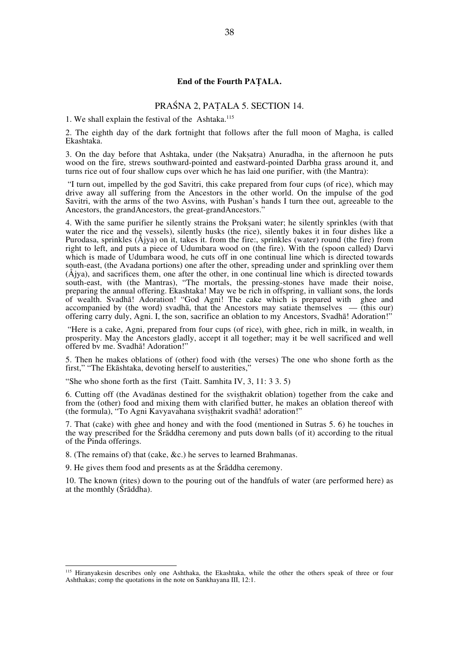#### **End of the Fourth PAṬALA.**

# PRAŚNA 2, PAṬALA 5. SECTION 14.

1. We shall explain the festival of the Ashtaka.<sup>115</sup>

2. The eighth day of the dark fortnight that follows after the full moon of Magha, is called Ekashtaka.

3. On the day before that Ashtaka, under (the Nakṣatra) Anuradha, in the afternoon he puts wood on the fire, strews southward-pointed and eastward-pointed Darbha grass around it, and turns rice out of four shallow cups over which he has laid one purifier, with (the Mantra):

 "I turn out, impelled by the god Savitri, this cake prepared from four cups (of rice), which may drive away all suffering from the Ancestors in the other world. On the impulse of the god Savitri, with the arms of the two Asvins, with Pushan's hands I turn thee out, agreeable to the Ancestors, the grandAncestors, the great-grandAncestors."

4. With the same purifier he silently strains the Prokṣani water; he silently sprinkles (with that water the rice and the vessels), silently husks (the rice), silently bakes it in four dishes like a Purodasa, sprinkles (Åjya) on it, takes it. from the fire:, sprinkles (water) round (the fire) from right to left, and puts a piece of Udumbara wood on (the fire). With the (spoon called) Darvi which is made of Udumbara wood, he cuts off in one continual line which is directed towards south-east, (the Avadana portions) one after the other, spreading under and sprinkling over them (Åjya), and sacrifices them, one after the other, in one continual line which is directed towards south-east, with (the Mantras), "The mortals, the pressing-stones have made their noise, preparing the annual offering. Ekashtaka! May we be rich in offspring, in valliant sons, the lords of wealth. Svadhā! Adoration! "God Agni! The cake which is prepared with ghee and accompanied by (the word) svadhā, that the Ancestors may satiate themselves  $-$  (this our) offering carry duly, Agni. I, the son, sacrifice an oblation to my Ancestors, Svadhā! Adoration!"

 "Here is a cake, Agni, prepared from four cups (of rice), with ghee, rich in milk, in wealth, in prosperity. May the Ancestors gladly, accept it all together; may it be well sacrificed and well offered bv me. Svadhā! Adoration!"

5. Then he makes oblations of (other) food with (the verses) The one who shone forth as the first," "The Ekāshtaka, devoting herself to austerities,"

"She who shone forth as the first (Taitt. Samhita IV,  $3, 11: 33. 5$ )

6. Cutting off (the Avadānas destined for the sviṣṭhakrit oblation) together from the cake and from the (other) food and mixing them with clarified butter, he makes an oblation thereof with (the formula), "To Agni Kavyavahana sviṣṭhakrit svadhā! adoration!"

7. That (cake) with ghee and honey and with the food (mentioned in Sutras 5. 6) he touches in the way prescribed for the Śrāddha ceremony and puts down balls (of it) according to the ritual of the Pinda offerings.

8. (The remains of) that (cake, &c.) he serves to learned Brahmanas.

9. He gives them food and presents as at the Śrāddha ceremony.

10. The known (rites) down to the pouring out of the handfuls of water (are performed here) as at the monthly (Śrāddha).

<sup>115</sup> Hiranyakesin describes only one Ashthaka, the Ekashtaka, while the other the others speak of three or four Ashthakas; comp the quotations in the note on Sankhayana III, 12:1.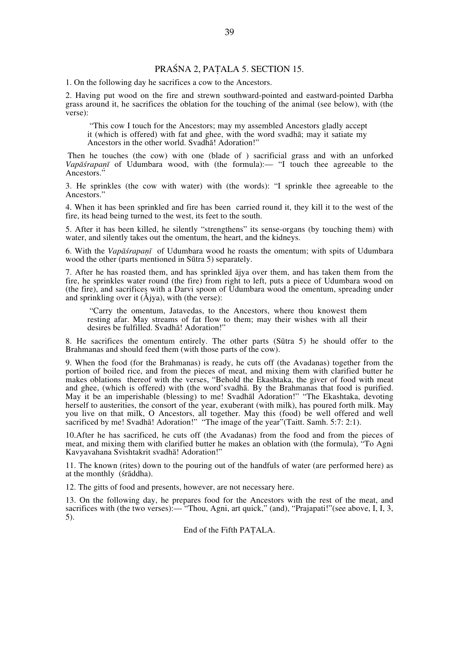# PRAŚNA 2, PAṬALA 5. SECTION 15.

1. On the following day he sacrifices a cow to the Ancestors.

2. Having put wood on the fire and strewn southward-pointed and eastward-pointed Darbha grass around it, he sacrifices the oblation for the touching of the animal (see below), with (the verse):

 "This cow I touch for the Ancestors; may my assembled Ancestors gladly accept it (which is offered) with fat and ghee, with the word svadhā; may it satiate my Ancestors in the other world. Svadhā! Adoration!"

 Then he touches (the cow) with one (blade of ) sacrificial grass and with an unforked *Vapāśrapaṇī* of Udumbara wood, with (the formula):— "I touch thee agreeable to the Ancestors."

3. He sprinkles (the cow with water) with (the words): "I sprinkle thee agreeable to the Ancestors."

4. When it has been sprinkled and fire has been carried round it, they kill it to the west of the fire, its head being turned to the west, its feet to the south.

5. After it has been killed, he silently "strengthens" its sense-organs (by touching them) with water, and silently takes out the omentum, the heart, and the kidneys.

6. With the *Vapāśrapaṇī* of Udumbara wood he roasts the omentum; with spits of Udumbara wood the other (parts mentioned in Sūtra 5) separately.

7. After he has roasted them, and has sprinkled ājya over them, and has taken them from the fire, he sprinkles water round (the fire) from right to left, puts a piece of Udumbara wood on (the fire), and sacrifices with a Darvi spoon of Udumbara wood the omentum, spreading under and sprinkling over it (Åjya), with (the verse):

 "Carry the omentum, Jatavedas, to the Ancestors, where thou knowest them resting afar. May streams of fat flow to them; may their wishes with all their desires be fulfilled. Svadhā! Adoration!"

8. He sacrifices the omentum entirely. The other parts (Sūtra 5) he should offer to the Brahmanas and should feed them (with those parts of the cow).

9. When the food (for the Brahmanas) is ready, he cuts off (the Avadanas) together from the portion of boiled rice, and from the pieces of meat, and mixing them with clarified butter he makes oblations thereof with the verses, "Behold the Ekashtaka, the giver of food with meat and ghee, (which is offered) with (the word'svadhā. By the Brahmanas that food is purified. May it be an imperishable (blessing) to me! Svadhāl Adoration!" "The Ekashtaka, devoting herself to austerities, the consort of the year, exuberant (with milk), has poured forth milk. May you live on that milk, O Ancestors, all together. May this (food) be well offered and well sacrificed by me! Svadhā! Adoration!" "The image of the year"(Taitt. Samh. 5:7: 2:1).

10.After he has sacrificed, he cuts off (the Avadanas) from the food and from the pieces of meat, and mixing them with clarified butter he makes an oblation with (the formula), "To Agni Kavyavahana Svishtakrit svadhā! Adoration!"

11. The known (rites) down to the pouring out of the handfuls of water (are performed here) as at the monthly (śrāddha).

12. The gitts of food and presents, however, are not necessary here.

13. On the following day, he prepares food for the Ancestors with the rest of the meat, and sacrifices with (the two verses):— "Thou, Agni, art quick," (and), "Prajapati!" (see above, I, I, 3, 5).

End of the Fifth PAṬALA.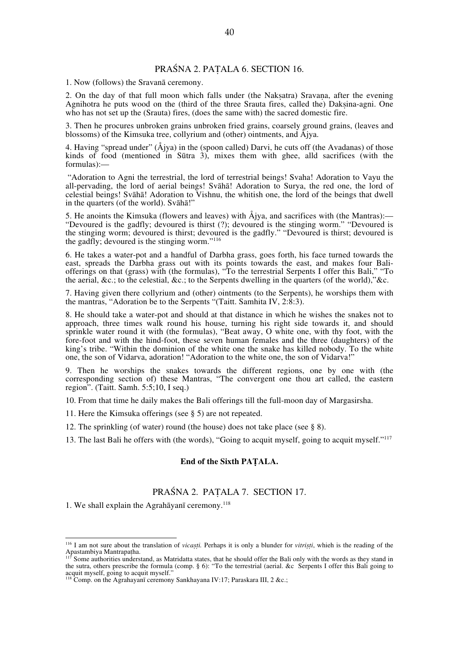# PRAŚNA 2. PAṬALA 6. SECTION 16.

1. Now (follows) the Sravanā ceremony.

2. On the day of that full moon which falls under (the Naksatra) Sravana, after the evening Agnihotra he puts wood on the (third of the three Srauta fires, called the) Dakṣina-agni. One who has not set up the (Srauta) fires, (does the same with) the sacred domestic fire.

3. Then he procures unbroken grains unbroken fried grains, coarsely ground grains, (leaves and blossoms) of the Kimsuka tree, collyrium and (other) ointments, and Åjya.

4. Having "spread under" (Åjya) in the (spoon called) Darvi, he cuts off (the Avadanas) of those kinds of food (mentioned in Sūtra 3), mixes them with ghee, alld sacrifices (with the formulas):—

 "Adoration to Agni the terrestrial, the lord of terrestrial beings! Svaha! Adoration to Vayu the all-pervading, the lord of aerial beings! Svāhā! Adoration to Surya, the red one, the lord of celestial beings! Svāhā! Adoration to Vishnu, the whitish one, the lord of the beings that dwell in the quarters (of the world). Svāhā!"

5. He anoints the Kimsuka (flowers and leaves) with  $\AA$ jya, and sacrifices with (the Mantras):— "Devoured is the gadfly; devoured is thirst (?); devoured is the stinging worm." "Devoured is the stinging worm; devoured is thirst; devoured is the gadfly." "Devoured is thirst; devoured is the gadfly; devoured is the stinging worm."<sup>116</sup>

6. He takes a water-pot and a handful of Darbha grass, goes forth, his face turned towards the east, spreads the Darbha grass out with its points towards the east, and makes four Baliofferings on that (grass) with (the formulas), "To the terrestrial Serpents I offer this Bali," "To the aerial, &c.; to the celestial, &c.; to the Serpents dwelling in the quarters (of the world),"&c.

7. Having given there collyrium and (other) ointments (to the Serpents), he worships them with the mantras, "Adoration be to the Serpents "(Taitt. Samhita IV, 2:8:3).

8. He should take a water-pot and should at that distance in which he wishes the snakes not to approach, three times walk round his house, turning his right side towards it, and should sprinkle water round it with (the formulas), "Beat away, O white one, with thy foot, with the fore-foot and with the hind-foot, these seven human females and the three (daughters) of the king's tribe. "Within the dominion of the white one the snake has killed nobody. To the white one, the son of Vidarva, adoration! "Adoration to the white one, the son of Vidarva!"

9. Then he worships the snakes towards the different regions, one by one with (the corresponding section of) these Mantras, "The convergent one thou art called, the eastern region". (Taitt. Samh. 5:5;10, I seq.)

10. From that time he daily makes the Bali offerings till the full-moon day of Margasirsha.

11. Here the Kimsuka offerings (see § 5) are not repeated.

12. The sprinkling (of water) round (the house) does not take place (see § 8).

13. The last Bali he offers with (the words), "Going to acquit myself, going to acquit myself."<sup>117</sup>

#### **End of the Sixth PAṬALA.**

# PRAŚNA 2. PAṬALA 7. SECTION 17.

1. We shall explain the Agrahāyanī ceremony.<sup>118</sup>

<sup>&</sup>lt;sup>116</sup> I am not sure about the translation of *vicaști*. Perhaps it is only a blunder for *vitriști*, which is the reading of the Apastambiya Mantrapatha.<br><sup>117</sup> Some authorities understand as Matricians states of the U.S. C Apastambiya Mantrapaṭha.<br><sup>117</sup> Some authorities understand, as Matridatta states, that he should offer the Bali only with the words as they stand in

the sutra, others prescribe the formula (comp. § 6): "To the terrestrial (aerial. &c Serpents I offer this Bali going to acquit myself, going to acquit myself."

<sup>118</sup> Comp. on the Agrahayanī ceremony Sankhayana IV:17; Paraskara III, 2 &c.;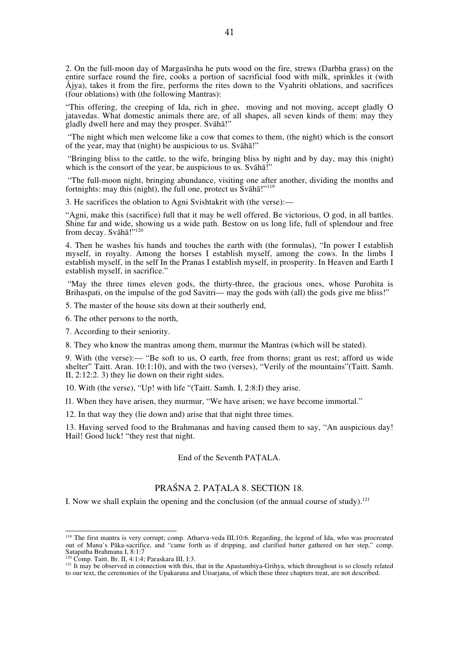2. On the full-moon day of Margasīrsha he puts wood on the fire, strews (Darbha grass) on the entire surface round the fire, cooks a portion of sacrificial food with milk, sprinkles it (with  $\AA$ jya), takes it from the fire, performs the rites down to the Vyahriti oblations, and sacrifices (four oblations) with (the following Mantras):

"This offering, the creeping of Ida, rich in ghee, moving and not moving, accept gladly O jatavedas. What domestic animals there are, of all shapes, all seven kinds of them: may they gladly dwell here and may they prosper. Svāhā!"

 "The night which men welcome like a cow that comes to them, (the night) which is the consort of the year, may that (night) be auspicious to us. Svāhā!"

 "Bringing bliss to the cattle, to the wife, bringing bliss by night and by day, may this (night) which is the consort of the year, be auspicious to us. Svāhā!"

 "The full-moon night, bringing abundance, visiting one after another, dividing the months and fortnights: may this (night), the full one, protect us  $\bar{S}v\bar{a}h\bar{a}$ !"<sup>119</sup>

3. He sacrifices the oblation to Agni Svishtakrit with (the verse):—

"Agni, make this (sacrifice) full that it may be well offered. Be victorious, O god, in all battles. Shine far and wide, showing us a wide path. Bestow on us long life, full of splendour and free from decay. Svāhā!"<sup>120</sup>

4. Then he washes his hands and touches the earth with (the formulas), "In power I establish myself, in royalty. Among the horses I establish myself, among the cows. In the limbs I establish myself, in the self In the Pranas I establish myself, in prosperity. In Heaven and Earth I establish myself, in sacrifice."

 "May the three times eleven gods, the thirty-three, the gracious ones, whose Purohita is Brihaspati, on the impulse of the god Savitri— may the gods with (all) the gods give me bliss!"

5. The master of the house sits down at their southerly end,

6. The other persons to the north,

7. According to their seniority.

8. They who know the mantras among them, murmur the Mantras (which will be stated).

9. With (the verse):— "Be soft to us, O earth, free from thorns; grant us rest; afford us wide shelter" Taitt. Aran. 10:1:10), and with the two (verses), "Verily of the mountains"(Taitt. Samh. II, 2:12:2. 3) they lie down on their right sides.

10. With (the verse), "Up! with life "(Taitt. Samh. I, 2:8:I) they arise.

l1. When they have arisen, they murmur, "We have arisen; we have become immortal."

12. In that way they (lie down and) arise that that night three times.

13. Having served food to the Brahmanas and having caused them to say, "An auspicious day! Hail! Good luck! "they rest that night.

End of the Seventh PAṬALA.

### PRAŚNA 2. PAṬALA 8. SECTION 18.

I. Now we shall explain the opening and the conclusion (of the annual course of study).<sup>121</sup>

<sup>&</sup>lt;sup>119</sup> The first mantra is very corrupt; comp. Atharva-veda III,10:6. Regarding, the legend of Ida, who was procreated out of Manu's Pāka-sacrifice, and "came forth as if dripping, and clarified butter gathered on her step," comp. Satapatha Brahmana I, 8:1:7<br><sup>120</sup> Comp. Taitt. Br. II, 4:1:4; Paraskara III, I:3.

 $121$  It may be observed in connection with this, that in the Apastambiya-Grihya, which throughout is so closely related to our text, the ceremonies of the Upakarana and Utsarjana, of which these three chapters treat, are not described.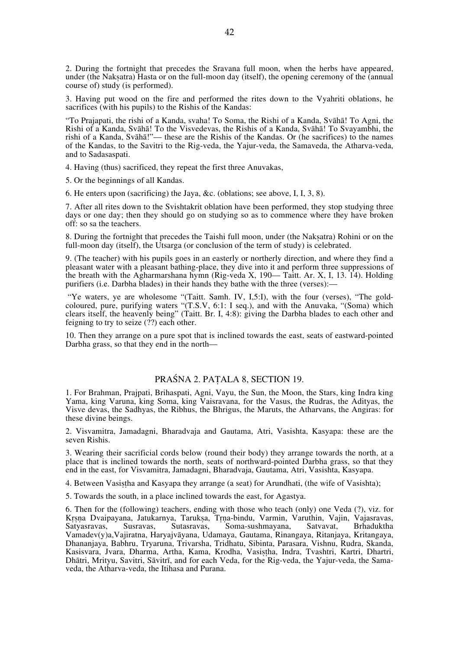2. During the fortnight that precedes the Sravana full moon, when the herbs have appeared, under (the Nakṣatra) Hasta or on the full-moon day (itself), the opening ceremony of the (annual course of) study (is performed).

3. Having put wood on the fire and performed the rites down to the Vyahriti oblations, he sacrifices (with his pupils) to the Rishis of the Kandas:

"To Prajapati, the rishi of a Kanda, svaha! To Soma, the Rishi of a Kanda, Svāhā! To Agni, the Rishi of a Kanda, Svāhā! To the Visvedevas, the Rishis of a Kanda, Svāhā! To Svayambhi, the rishi of a Kanda, Svāhā!"— these are the Rishis of the Kandas. Or (he sacrifices) to the names of the Kandas, to the Savitri to the Rig-veda, the Yajur-veda, the Samaveda, the Atharva-veda, and to Sadasaspati.

4. Having (thus) sacrificed, they repeat the first three Anuvakas,

5. Or the beginnings of all Kandas.

6. He enters upon (sacrificing) the Jaya, &c. (oblations; see above, I, I, 3, 8).

7. After all rites down to the Svishtakrit oblation have been performed, they stop studying three days or one day; then they should go on studying so as to commence where they have broken off: so sa the teachers.

8. During the fortnight that precedes the Taishi full moon, under (the Nakṣatra) Rohini or on the full-moon day (itself), the Utsarga (or conclusion of the term of study) is celebrated.

9. (The teacher) with his pupils goes in an easterly or northerly direction, and where they find a pleasant water with a pleasant bathing-place, they dive into it and perform three suppressions of the breath with the Agharmarshana hymn (Rig-veda X, 190— Taitt. Ar. X, I, 13. 14). Holding purifiers (i.e. Darbha blades) in their hands they bathe with the three (verses):—

 "Ye waters, ye are wholesome "(Taitt. Samh. IV, I,5:I), with the four (verses), "The goldcoloured, pure, purifying waters "(T.S.V, 6:1: I seq.), and with the Anuvaka, "(Soma) which clears itself, the heavenly being" (Taitt. Br. I, 4:8): giving the Darbha blades to each other and feigning to try to seize (??) each other.

10. Then they arrange on a pure spot that is inclined towards the east, seats of eastward-pointed Darbha grass, so that they end in the north—

# PRAŚNA 2. PAṬALA 8, SECTION 19.

1. For Brahman, Prajpati, Brihaspati, Agni, Vayu, the Sun, the Moon, the Stars, king Indra king Yama, king Varuna, king Soma, king Vaisravana, for the Vasus, the Rudras, the Adityas, the Visve devas, the Sadhyas, the Ribhus, the Bhrigus, the Maruts, the Atharvans, the Angiras: for these divine beings.

2. Visvamitra, Jamadagni, Bharadvaja and Gautama, Atri, Vasishta, Kasyapa: these are the seven Rishis.

3. Wearing their sacrificial cords below (round their body) they arrange towards the north, at a place that is inclined towards the north, seats of northward-pointed Darbha grass, so that they end in the east, for Visvamitra, Jamadagni, Bharadvaja, Gautama, Atri, Vasishta, Kasyapa.

4. Between Vasiṣṭha and Kasyapa they arrange (a seat) for Arundhati, (the wife of Vasishta);

5. Towards the south, in a place inclined towards the east, for Agastya.

6. Then for the (following) teachers, ending with those who teach (only) one Veda (?), viz. for Kṛṣṇa Dvaipayana, Jatukarnya, Tarukṣa, Tṛṇa-bindu, Varmin, Varuthin, Vajin, Vajasravas, Satvavar, Susravas, Sutasravas, Soma-sushmayana, Satvavat, Brhaduktha Soma-sushmayana, Vamadev(y)a,Vajiratna, Haryajvāyana, Udamaya, Gautama, Rinangaya, Ritanjaya, Kritangaya, Dhananjaya, Babhru, Tryaruna, Trivarsha, Tridhatu, Sibinta, Parasara, Vishnu, Rudra, Skanda, Kasisvara, Jvara, Dharma, Artha, Kama, Krodha, Vasistha, Indra, Tvashtri, Kartri, Dhartri, Dhātri, Mrityu, Savitri, Sāvitrī, and for each Veda, for the Rig-veda, the Yajur-veda, the Samaveda, the Atharva-veda, the Itihasa and Purana.